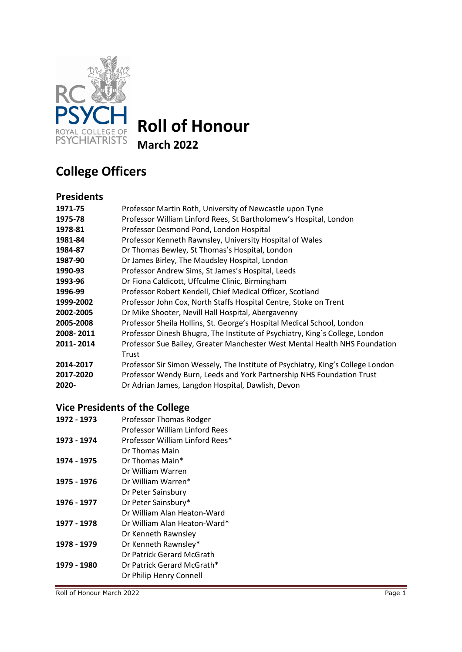

# **Roll of Honour**

**March 2022**

# **College Officers**

### **Presidents**

| 1971-75   | Professor Martin Roth, University of Newcastle upon Tyne                        |
|-----------|---------------------------------------------------------------------------------|
| 1975-78   | Professor William Linford Rees, St Bartholomew's Hospital, London               |
| 1978-81   | Professor Desmond Pond, London Hospital                                         |
| 1981-84   | Professor Kenneth Rawnsley, University Hospital of Wales                        |
| 1984-87   | Dr Thomas Bewley, St Thomas's Hospital, London                                  |
| 1987-90   | Dr James Birley, The Maudsley Hospital, London                                  |
| 1990-93   | Professor Andrew Sims, St James's Hospital, Leeds                               |
| 1993-96   | Dr Fiona Caldicott, Uffculme Clinic, Birmingham                                 |
| 1996-99   | Professor Robert Kendell, Chief Medical Officer, Scotland                       |
| 1999-2002 | Professor John Cox, North Staffs Hospital Centre, Stoke on Trent                |
| 2002-2005 | Dr Mike Shooter, Nevill Hall Hospital, Abergavenny                              |
| 2005-2008 | Professor Sheila Hollins, St. George's Hospital Medical School, London          |
| 2008-2011 | Professor Dinesh Bhugra, The Institute of Psychiatry, King's College, London    |
| 2011-2014 | Professor Sue Bailey, Greater Manchester West Mental Health NHS Foundation      |
|           | Trust                                                                           |
| 2014-2017 | Professor Sir Simon Wessely, The Institute of Psychiatry, King's College London |
| 2017-2020 | Professor Wendy Burn, Leeds and York Partnership NHS Foundation Trust           |
| 2020-     | Dr Adrian James, Langdon Hospital, Dawlish, Devon                               |
|           |                                                                                 |

## **Vice Presidents of the College**

| 1972 - 1973 | Professor Thomas Rodger         |
|-------------|---------------------------------|
|             | Professor William Linford Rees  |
| 1973 - 1974 | Professor William Linford Rees* |
|             | Dr Thomas Main                  |
| 1974 - 1975 | Dr Thomas Main*                 |
|             | Dr William Warren               |
| 1975 - 1976 | Dr William Warren*              |
|             | Dr Peter Sainsbury              |
| 1976 - 1977 | Dr Peter Sainsbury*             |
|             | Dr William Alan Heaton-Ward     |
| 1977 - 1978 | Dr William Alan Heaton-Ward*    |
|             | Dr Kenneth Rawnsley             |
| 1978 - 1979 | Dr Kenneth Rawnsley*            |
|             | Dr Patrick Gerard McGrath       |
| 1979 - 1980 | Dr Patrick Gerard McGrath*      |
|             | Dr Philip Henry Connell         |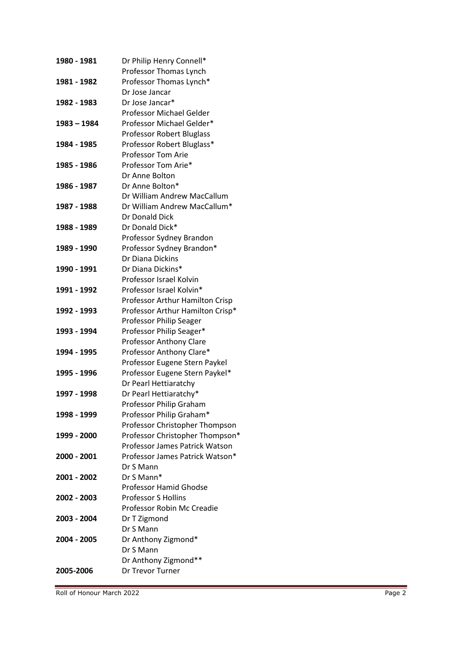| 1980 - 1981   | Dr Philip Henry Connell*         |
|---------------|----------------------------------|
|               | Professor Thomas Lynch           |
| 1981 - 1982   | Professor Thomas Lynch*          |
|               | Dr Jose Jancar                   |
| 1982 - 1983   | Dr Jose Jancar*                  |
|               | <b>Professor Michael Gelder</b>  |
| $1983 - 1984$ | Professor Michael Gelder*        |
|               | <b>Professor Robert Bluglass</b> |
| 1984 - 1985   | Professor Robert Bluglass*       |
|               | <b>Professor Tom Arie</b>        |
| 1985 - 1986   | Professor Tom Arie*              |
|               | Dr Anne Bolton                   |
| 1986 - 1987   | Dr Anne Bolton*                  |
|               | Dr William Andrew MacCallum      |
| 1987 - 1988   | Dr William Andrew MacCallum*     |
|               | Dr Donald Dick                   |
| 1988 - 1989   | Dr Donald Dick*                  |
|               | Professor Sydney Brandon         |
| 1989 - 1990   | Professor Sydney Brandon*        |
|               | Dr Diana Dickins                 |
| 1990 - 1991   | Dr Diana Dickins*                |
|               | Professor Israel Kolvin          |
| 1991 - 1992   | Professor Israel Kolvin*         |
|               | Professor Arthur Hamilton Crisp  |
| 1992 - 1993   | Professor Arthur Hamilton Crisp* |
|               | Professor Philip Seager          |
| 1993 - 1994   | Professor Philip Seager*         |
|               | Professor Anthony Clare          |
| 1994 - 1995   | Professor Anthony Clare*         |
|               | Professor Eugene Stern Paykel    |
| 1995 - 1996   | Professor Eugene Stern Paykel*   |
|               | Dr Pearl Hettiaratchy            |
| 1997 - 1998   | Dr Pearl Hettiaratchy*           |
|               | Professor Philip Graham          |
| 1998 - 1999   | Professor Philip Graham*         |
|               | Professor Christopher Thompson   |
| 1999 - 2000   | Professor Christopher Thompson*  |
|               | Professor James Patrick Watson   |
| 2000 - 2001   | Professor James Patrick Watson*  |
|               | Dr S Mann                        |
| 2001 - 2002   | Dr S Mann*                       |
|               | <b>Professor Hamid Ghodse</b>    |
| 2002 - 2003   | <b>Professor S Hollins</b>       |
|               | Professor Robin Mc Creadie       |
| 2003 - 2004   | Dr T Zigmond                     |
|               | Dr S Mann                        |
| 2004 - 2005   | Dr Anthony Zigmond*              |
|               | Dr S Mann                        |
|               | Dr Anthony Zigmond**             |
| 2005-2006     | Dr Trevor Turner                 |
|               |                                  |

Roll of Honour March 2022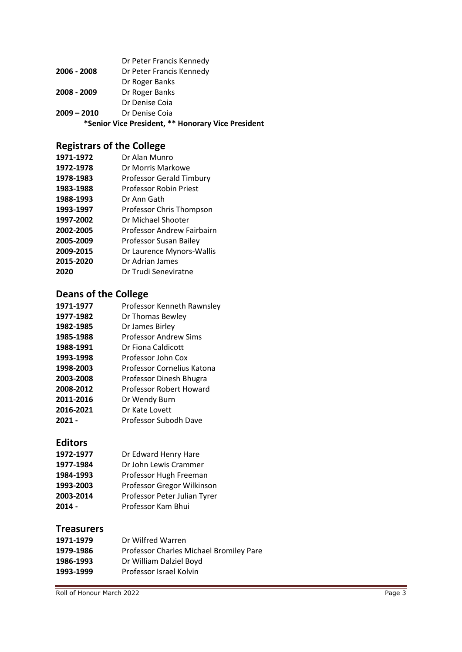| *Senior Vice President, ** Honorary Vice President |                          |
|----------------------------------------------------|--------------------------|
| $2009 - 2010$                                      | Dr Denise Coja           |
|                                                    | Dr Denise Coia           |
| 2008 - 2009                                        | Dr Roger Banks           |
|                                                    | Dr Roger Banks           |
| 2006 - 2008                                        | Dr Peter Francis Kennedy |
|                                                    | Dr Peter Francis Kennedy |

## **Registrars of the College**

| Dr Alan Munro                     |
|-----------------------------------|
| Dr Morris Markowe                 |
| <b>Professor Gerald Timbury</b>   |
| Professor Robin Priest            |
| Dr Ann Gath                       |
| Professor Chris Thompson          |
| Dr Michael Shooter                |
| <b>Professor Andrew Fairbairn</b> |
| Professor Susan Bailey            |
| Dr Laurence Mynors-Wallis         |
| Dr Adrian James                   |
| Dr Trudi Seneviratne              |
|                                   |

## **Deans of the College**

| 1971-1977 | Professor Kenneth Rawnsley   |
|-----------|------------------------------|
| 1977-1982 | Dr Thomas Bewley             |
| 1982-1985 | Dr James Birley              |
| 1985-1988 | <b>Professor Andrew Sims</b> |
| 1988-1991 | Dr Fiona Caldicott           |
| 1993-1998 | Professor John Cox           |
| 1998-2003 | Professor Cornelius Katona   |
| 2003-2008 | Professor Dinesh Bhugra      |
| 2008-2012 | Professor Robert Howard      |
| 2011-2016 | Dr Wendy Burn                |
| 2016-2021 | Dr Kate Lovett               |
| 2021 -    | Professor Subodh Dave        |
|           |                              |

## **Editors**

| 1972-1977 | Dr Edward Henry Hare         |
|-----------|------------------------------|
| 1977-1984 | Dr John Lewis Crammer        |
| 1984-1993 | Professor Hugh Freeman       |
| 1993-2003 | Professor Gregor Wilkinson   |
| 2003-2014 | Professor Peter Julian Tyrer |
| $2014 -$  | Professor Kam Bhui           |

#### **Treasurers**

| Dr Wilfred Warren                       |
|-----------------------------------------|
| Professor Charles Michael Bromiley Pare |
| Dr William Dalziel Boyd                 |
| Professor Israel Kolvin                 |
|                                         |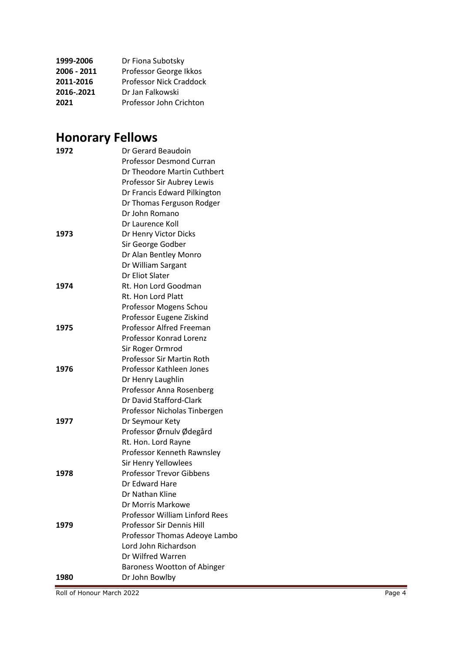| 1999-2006   | Dr Fiona Subotsky       |
|-------------|-------------------------|
| 2006 - 2011 | Professor George Ikkos  |
| 2011-2016   | Professor Nick Craddock |
| 2016-.2021  | Dr Jan Falkowski        |
| 2021        | Professor John Crichton |

# **Honorary Fellows**

| 1972 | Dr Gerard Beaudoin                    |
|------|---------------------------------------|
|      | <b>Professor Desmond Curran</b>       |
|      | Dr Theodore Martin Cuthbert           |
|      | Professor Sir Aubrey Lewis            |
|      | Dr Francis Edward Pilkington          |
|      | Dr Thomas Ferguson Rodger             |
|      | Dr John Romano                        |
|      | Dr Laurence Koll                      |
| 1973 | Dr Henry Victor Dicks                 |
|      | Sir George Godber                     |
|      | Dr Alan Bentley Monro                 |
|      | Dr William Sargant                    |
|      | Dr Eliot Slater                       |
| 1974 | Rt. Hon Lord Goodman                  |
|      | Rt. Hon Lord Platt                    |
|      | Professor Mogens Schou                |
|      | Professor Eugene Ziskind              |
| 1975 | Professor Alfred Freeman              |
|      | <b>Professor Konrad Lorenz</b>        |
|      | Sir Roger Ormrod                      |
|      | <b>Professor Sir Martin Roth</b>      |
| 1976 | Professor Kathleen Jones              |
|      | Dr Henry Laughlin                     |
|      | Professor Anna Rosenberg              |
|      | Dr David Stafford-Clark               |
|      | Professor Nicholas Tinbergen          |
| 1977 | Dr Seymour Kety                       |
|      | Professor Ørnulv Ødegård              |
|      | Rt. Hon. Lord Rayne                   |
|      | Professor Kenneth Rawnsley            |
|      | Sir Henry Yellowlees                  |
| 1978 | <b>Professor Trevor Gibbens</b>       |
|      | Dr Edward Hare                        |
|      | Dr Nathan Kline                       |
|      | Dr Morris Markowe                     |
|      | <b>Professor William Linford Rees</b> |
| 1979 | <b>Professor Sir Dennis Hill</b>      |
|      | Professor Thomas Adeoye Lambo         |
|      | Lord John Richardson                  |
|      | Dr Wilfred Warren                     |
|      | <b>Baroness Wootton of Abinger</b>    |
| 1980 | Dr John Bowlby                        |

Roll of Honour March 2022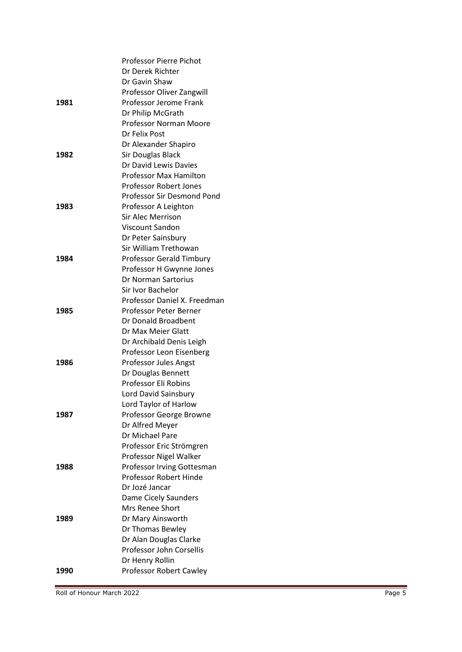|      | <b>Professor Pierre Pichot</b>  |
|------|---------------------------------|
|      | Dr Derek Richter                |
|      | Dr Gavin Shaw                   |
|      | Professor Oliver Zangwill       |
| 1981 | Professor Jerome Frank          |
|      | Dr Philip McGrath               |
|      | Professor Norman Moore          |
|      | Dr Felix Post                   |
|      | Dr Alexander Shapiro            |
| 1982 | Sir Douglas Black               |
|      | Dr David Lewis Davies           |
|      | <b>Professor Max Hamilton</b>   |
|      | Professor Robert Jones          |
|      | Professor Sir Desmond Pond      |
| 1983 | Professor A Leighton            |
|      | <b>Sir Alec Merrison</b>        |
|      | Viscount Sandon                 |
|      | Dr Peter Sainsbury              |
|      | Sir William Trethowan           |
| 1984 | <b>Professor Gerald Timbury</b> |
|      | Professor H Gwynne Jones        |
|      | Dr Norman Sartorius             |
|      | Sir Ivor Bachelor               |
|      | Professor Daniel X. Freedman    |
| 1985 | Professor Peter Berner          |
|      | Dr Donald Broadbent             |
|      | Dr Max Meier Glatt              |
|      | Dr Archibald Denis Leigh        |
|      | Professor Leon Eisenberg        |
| 1986 | Professor Jules Angst           |
|      | Dr Douglas Bennett              |
|      | Professor Eli Robins            |
|      | Lord David Sainsbury            |
|      | Lord Taylor of Harlow           |
| 1987 | Professor George Browne         |
|      | Dr Alfred Meyer                 |
|      | Dr Michael Pare                 |
|      | Professor Eric Strömgren        |
|      | Professor Nigel Walker          |
| 1988 | Professor Irving Gottesman      |
|      | Professor Robert Hinde          |
|      | Dr Jozé Jancar                  |
|      | Dame Cicely Saunders            |
|      | <b>Mrs Renee Short</b>          |
| 1989 | Dr Mary Ainsworth               |
|      | Dr Thomas Bewley                |
|      | Dr Alan Douglas Clarke          |
|      | Professor John Corsellis        |
|      | Dr Henry Rollin                 |
| 1990 | Professor Robert Cawley         |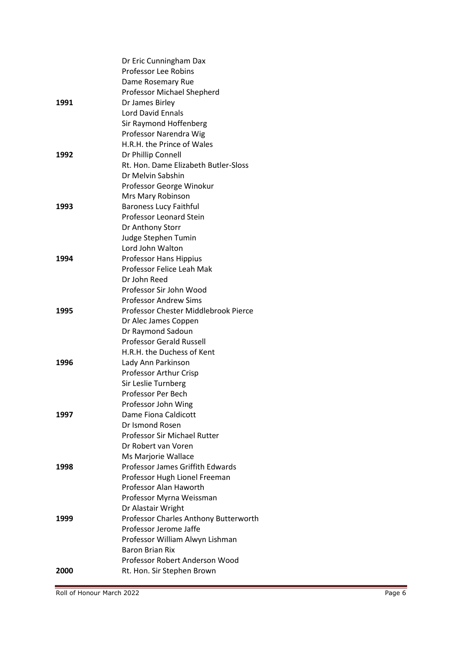|      | Dr Eric Cunningham Dax                |
|------|---------------------------------------|
|      | <b>Professor Lee Robins</b>           |
|      | Dame Rosemary Rue                     |
|      | Professor Michael Shepherd            |
| 1991 | Dr James Birley                       |
|      | <b>Lord David Ennals</b>              |
|      | Sir Raymond Hoffenberg                |
|      | Professor Narendra Wig                |
|      | H.R.H. the Prince of Wales            |
| 1992 | Dr Phillip Connell                    |
|      | Rt. Hon. Dame Elizabeth Butler-Sloss  |
|      | Dr Melvin Sabshin                     |
|      | Professor George Winokur              |
|      | Mrs Mary Robinson                     |
| 1993 | <b>Baroness Lucy Faithful</b>         |
|      | Professor Leonard Stein               |
|      | Dr Anthony Storr                      |
|      | Judge Stephen Tumin                   |
|      | Lord John Walton                      |
| 1994 | Professor Hans Hippius                |
|      | Professor Felice Leah Mak             |
|      | Dr John Reed                          |
|      | Professor Sir John Wood               |
|      | <b>Professor Andrew Sims</b>          |
| 1995 | Professor Chester Middlebrook Pierce  |
|      | Dr Alec James Coppen                  |
|      | Dr Raymond Sadoun                     |
|      | <b>Professor Gerald Russell</b>       |
|      | H.R.H. the Duchess of Kent            |
| 1996 | Lady Ann Parkinson                    |
|      | Professor Arthur Crisp                |
|      | Sir Leslie Turnberg                   |
|      | Professor Per Bech                    |
|      | Professor John Wing                   |
| 1997 | Dame Fiona Caldicott                  |
|      | Dr Ismond Rosen                       |
|      | <b>Professor Sir Michael Rutter</b>   |
|      | Dr Robert van Voren                   |
|      | Ms Marjorie Wallace                   |
| 1998 | Professor James Griffith Edwards      |
|      | Professor Hugh Lionel Freeman         |
|      | Professor Alan Haworth                |
|      | Professor Myrna Weissman              |
|      | Dr Alastair Wright                    |
| 1999 | Professor Charles Anthony Butterworth |
|      | Professor Jerome Jaffe                |
|      | Professor William Alwyn Lishman       |
|      | <b>Baron Brian Rix</b>                |
|      | Professor Robert Anderson Wood        |
| 2000 | Rt. Hon. Sir Stephen Brown            |
|      |                                       |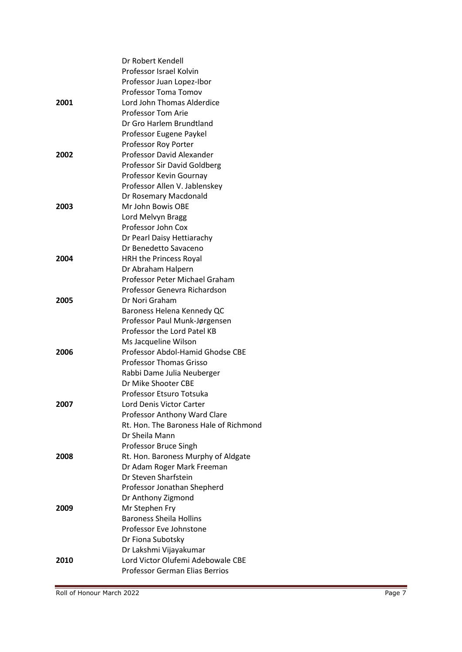|      | Dr Robert Kendell                      |
|------|----------------------------------------|
|      | Professor Israel Kolvin                |
|      | Professor Juan Lopez-Ibor              |
|      | Professor Toma Tomov                   |
| 2001 | Lord John Thomas Alderdice             |
|      | <b>Professor Tom Arie</b>              |
|      | Dr Gro Harlem Brundtland               |
|      | Professor Eugene Paykel                |
|      | Professor Roy Porter                   |
| 2002 | Professor David Alexander              |
|      | Professor Sir David Goldberg           |
|      | Professor Kevin Gournay                |
|      | Professor Allen V. Jablenskey          |
|      | Dr Rosemary Macdonald                  |
| 2003 | Mr John Bowis OBE                      |
|      | Lord Melvyn Bragg                      |
|      | Professor John Cox                     |
|      | Dr Pearl Daisy Hettiarachy             |
|      | Dr Benedetto Savaceno                  |
| 2004 | HRH the Princess Royal                 |
|      | Dr Abraham Halpern                     |
|      | Professor Peter Michael Graham         |
|      | Professor Genevra Richardson           |
| 2005 | Dr Nori Graham                         |
|      | Baroness Helena Kennedy QC             |
|      | Professor Paul Munk-Jørgensen          |
|      | Professor the Lord Patel KB            |
|      | Ms Jacqueline Wilson                   |
| 2006 | Professor Abdol-Hamid Ghodse CBE       |
|      | <b>Professor Thomas Grisso</b>         |
|      | Rabbi Dame Julia Neuberger             |
|      | Dr Mike Shooter CBE                    |
|      | Professor Etsuro Totsuka               |
| 2007 | Lord Denis Victor Carter               |
|      | Professor Anthony Ward Clare           |
|      | Rt. Hon. The Baroness Hale of Richmond |
|      | Dr Sheila Mann                         |
|      | Professor Bruce Singh                  |
| 2008 | Rt. Hon. Baroness Murphy of Aldgate    |
|      | Dr Adam Roger Mark Freeman             |
|      | Dr Steven Sharfstein                   |
|      | Professor Jonathan Shepherd            |
|      | Dr Anthony Zigmond                     |
| 2009 | Mr Stephen Fry                         |
|      | <b>Baroness Sheila Hollins</b>         |
|      | Professor Eve Johnstone                |
|      | Dr Fiona Subotsky                      |
|      | Dr Lakshmi Vijayakumar                 |
| 2010 | Lord Victor Olufemi Adebowale CBE      |
|      | <b>Professor German Elias Berrios</b>  |
|      |                                        |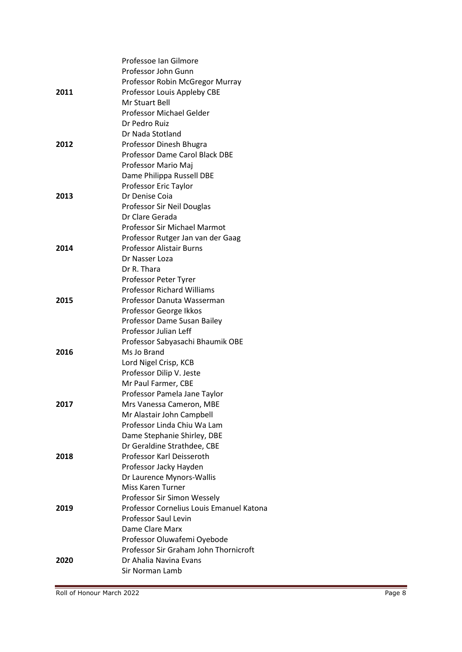|      | Professoe Ian Gilmore                    |
|------|------------------------------------------|
|      | Professor John Gunn                      |
|      | Professor Robin McGregor Murray          |
| 2011 | Professor Louis Appleby CBE              |
|      | Mr Stuart Bell                           |
|      | Professor Michael Gelder                 |
|      | Dr Pedro Ruiz                            |
|      | Dr Nada Stotland                         |
| 2012 | Professor Dinesh Bhugra                  |
|      | Professor Dame Carol Black DBE           |
|      | Professor Mario Maj                      |
|      | Dame Philippa Russell DBE                |
|      | Professor Eric Taylor                    |
| 2013 | Dr Denise Coja                           |
|      | Professor Sir Neil Douglas               |
|      | Dr Clare Gerada                          |
|      | Professor Sir Michael Marmot             |
|      | Professor Rutger Jan van der Gaag        |
| 2014 | <b>Professor Alistair Burns</b>          |
|      | Dr Nasser Loza                           |
|      | Dr R. Thara                              |
|      | Professor Peter Tyrer                    |
|      | <b>Professor Richard Williams</b>        |
| 2015 | Professor Danuta Wasserman               |
|      | Professor George Ikkos                   |
|      | Professor Dame Susan Bailey              |
|      | Professor Julian Leff                    |
|      | Professor Sabyasachi Bhaumik OBE         |
| 2016 | Ms Jo Brand                              |
|      | Lord Nigel Crisp, KCB                    |
|      | Professor Dilip V. Jeste                 |
|      | Mr Paul Farmer, CBE                      |
|      | Professor Pamela Jane Taylor             |
| 2017 | Mrs Vanessa Cameron, MBE                 |
|      | Mr Alastair John Campbell                |
|      | Professor Linda Chiu Wa Lam              |
|      | Dame Stephanie Shirley, DBE              |
|      | Dr Geraldine Strathdee, CBE              |
| 2018 | Professor Karl Deisseroth                |
|      | Professor Jacky Hayden                   |
|      | Dr Laurence Mynors-Wallis                |
|      | <b>Miss Karen Turner</b>                 |
|      | Professor Sir Simon Wessely              |
| 2019 | Professor Cornelius Louis Emanuel Katona |
|      | Professor Saul Levin                     |
|      | Dame Clare Marx                          |
|      | Professor Oluwafemi Oyebode              |
|      | Professor Sir Graham John Thornicroft    |
| 2020 | Dr Ahalia Navina Evans                   |
|      | Sir Norman Lamb                          |
|      |                                          |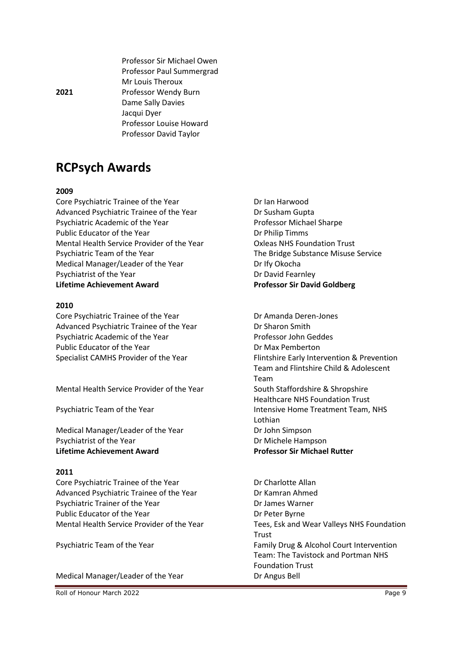Professor Paul Summergrad Mr Louis Theroux **2021** Professor Wendy Burn Dame Sally Davies Jacqui Dyer Professor Louise Howard Professor David Taylor

Professor Sir Michael Owen

## **RCPsych Awards**

#### **2009**

Core Psychiatric Trainee of the Year **Dream Core Psychiatric Trainee of the Year** Advanced Psychiatric Trainee of the Year Dr Susham Gupta Psychiatric Academic of the Year Professor Michael Sharpe Public Educator of the Year **Dr Philip Timms** Mental Health Service Provider of the Year Oxleas NHS Foundation Trust Psychiatric Team of the Year The Bridge Substance Misuse Service Medical Manager/Leader of the Year Dr Ify Okocha Psychiatrist of the Year Dr David Fearnley **Lifetime Achievement Award Professor Sir David Goldberg**

#### **2010**

Core Psychiatric Trainee of the Year **Dr Amanda Deren-Jones** Advanced Psychiatric Trainee of the Year Dr Sharon Smith Psychiatric Academic of the Year Professor John Geddes Public Educator of the Year **Dr Max Pemberton** 

Mental Health Service Provider of the Year South Staffordshire & Shropshire

Medical Manager/Leader of the Year Dr John Simpson Psychiatrist of the Year **Dr Michele Hampson Lifetime Achievement Award Professor Sir Michael Rutter**

#### **2011**

Core Psychiatric Trainee of the Year **Dr Charlotte Allan** Advanced Psychiatric Trainee of the Year **Dr Kamran Ahmed** Psychiatric Trainer of the Year Dr James Warner Public Educator of the Year Dr Peter Byrne

Medical Manager/Leader of the Year Dr Angus Bell

Roll of Honour March 2022 **Page 9** 

Specialist CAMHS Provider of the Year Flintshire Early Intervention & Prevention Team and Flintshire Child & Adolescent Team Healthcare NHS Foundation Trust Psychiatric Team of the Year **Intensive Home Treatment Team, NHS** Lothian

Mental Health Service Provider of the Year Tees, Esk and Wear Valleys NHS Foundation Trust Psychiatric Team of the Year Family Drug & Alcohol Court Intervention Team: The Tavistock and Portman NHS Foundation Trust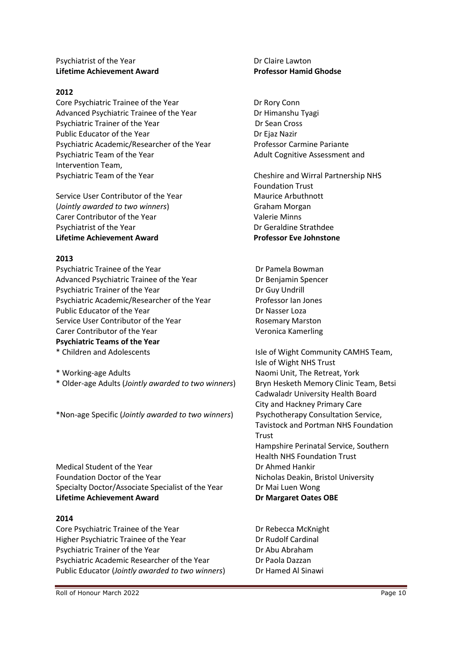#### Psychiatrist of the Year Dr Claire Lawton **Lifetime Achievement Award Professor Hamid Ghodse**

#### **2012**

Core Psychiatric Trainee of the Year **Driverse Connect Price Psychiatric Trainee of the Year** Advanced Psychiatric Trainee of the Year Dr Himanshu Tyagi Psychiatric Trainer of the Year **Dr Sean Cross** Public Educator of the Year **Dr Eliaz Nazir** Dr Ejaz Nazir Psychiatric Academic/Researcher of the Year Professor Carmine Pariante Psychiatric Team of the Year Adult Cognitive Assessment and Intervention Team, Psychiatric Team of the Year Cheshire and Wirral Partnership NHS

Service User Contributor of the Year Maurice Arbuthnott (*Jointly awarded to two winners*) Graham Morgan Carer Contributor of the Year Valerie Minns Psychiatrist of the Year **Dr Geraldine Strathdee Lifetime Achievement Award Professor Eve Johnstone**

#### **2013**

Psychiatric Trainee of the Year **Dr Pamela Bowman** Advanced Psychiatric Trainee of the Year **Dr Benjamin Spencer** Psychiatric Trainer of the Year Dr Guy Undrill Psychiatric Academic/Researcher of the Year Professor Ian Jones Public Educator of the Year **Dr Nasser Loza** Dr Nasser Loza Service User Contributor of the Year **Rosemary Marston** Carer Contributor of the Year Veronica Kamerling **Psychiatric Teams of the Year** \* Children and Adolescents Isle of Wight Community CAMHS Team,

\* Working-age Adults Naomi Unit, The Retreat, York \* Older-age Adults (*Jointly awarded to two winners*) Bryn Hesketh Memory Clinic Team, Betsi

\*Non-age Specific (*Jointly awarded to two winners*) Psychotherapy Consultation Service,

Medical Student of the Year **Dr Ahmed Hankir** Dr Ahmed Hankir Foundation Doctor of the Year Nicholas Deakin, Bristol University Specialty Doctor/Associate Specialist of the Year Dr Mai Luen Wong **Lifetime Achievement Award Dr Margaret Oates OBE**

#### **2014**

Core Psychiatric Trainee of the Year **Dr Rebecca McKnight** Higher Psychiatric Trainee of the Year **Dr Rudolf Cardinal** Psychiatric Trainer of the Year **Dr Abu Abraham** Psychiatric Academic Researcher of the Year **Dream Crain Dream Paola Dazzan** Public Educator (*Jointly awarded to two winners*) Dr Hamed Al Sinawi

Foundation Trust

Isle of Wight NHS Trust Cadwaladr University Health Board City and Hackney Primary Care Tavistock and Portman NHS Foundation Trust Hampshire Perinatal Service, Southern Health NHS Foundation Trust

Roll of Honour March 2022 **Page 10**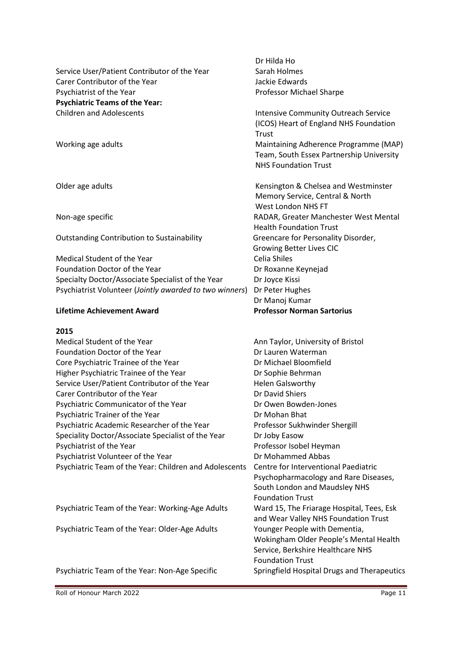Dr Hilda Ho Service User/Patient Contributor of the Year Sarah Holmes Carer Contributor of the Year **Jackie Edwards** Psychiatrist of the Year **Professor Michael Sharpe Psychiatric Teams of the Year:**  Children and Adolescents **Intensive Community Outreach Service** (ICOS) Heart of England NHS Foundation Trust Working age adults Maintaining Adherence Programme (MAP) Team, South Essex Partnership University NHS Foundation Trust Older age adults **Chelsea and Westminster** Kensington & Chelsea and Westminster Memory Service, Central & North West London NHS FT Non-age specific RADAR, Greater Manchester West Mental Health Foundation Trust Outstanding Contribution to Sustainability Greencare for Personality Disorder, Growing Better Lives CIC Medical Student of the Year Celia Shiles Foundation Doctor of the Year **Dr Roxanne Keyneiad** Specialty Doctor/Associate Specialist of the Year Dr Joyce Kissi Psychiatrist Volunteer (*Jointly awarded to two winners*) Dr Peter Hughes Dr Manoj Kumar **Lifetime Achievement Award Professor Norman Sartorius**

#### **2015**

| Medical Student of the Year                            | Ann Taylor, University of Bristol         |
|--------------------------------------------------------|-------------------------------------------|
| Foundation Doctor of the Year                          | Dr Lauren Waterman                        |
| Core Psychiatric Trainee of the Year                   | Dr Michael Bloomfield                     |
| Higher Psychiatric Trainee of the Year                 | Dr Sophie Behrman                         |
| Service User/Patient Contributor of the Year           | <b>Helen Galsworthy</b>                   |
| Carer Contributor of the Year                          | Dr David Shiers                           |
| Psychiatric Communicator of the Year                   | Dr Owen Bowden-Jones                      |
| Psychiatric Trainer of the Year                        | Dr Mohan Bhat                             |
| Psychiatric Academic Researcher of the Year            | Professor Sukhwinder Shergill             |
| Speciality Doctor/Associate Specialist of the Year     | Dr Joby Easow                             |
| Psychiatrist of the Year                               | Professor Isobel Heyman                   |
| Psychiatrist Volunteer of the Year                     | Dr Mohammed Abbas                         |
| Psychiatric Team of the Year: Children and Adolescents | Centre for Interventional Paediatric      |
|                                                        | Psychopharmacology and Rare Diseases,     |
|                                                        | South London and Maudsley NHS             |
|                                                        | <b>Foundation Trust</b>                   |
| Psychiatric Team of the Year: Working-Age Adults       | Ward 15, The Friarage Hospital, Tees, Esk |
|                                                        |                                           |

Psychiatric Team of the Year: Older-Age Adults Younger People with Dementia,

Psychiatric Team of the Year: Non-Age Specific Springfield Hospital Drugs and Therapeutics

and Wear Valley NHS Foundation Trust

Service, Berkshire Healthcare NHS

Foundation Trust

Wokingham Older People's Mental Health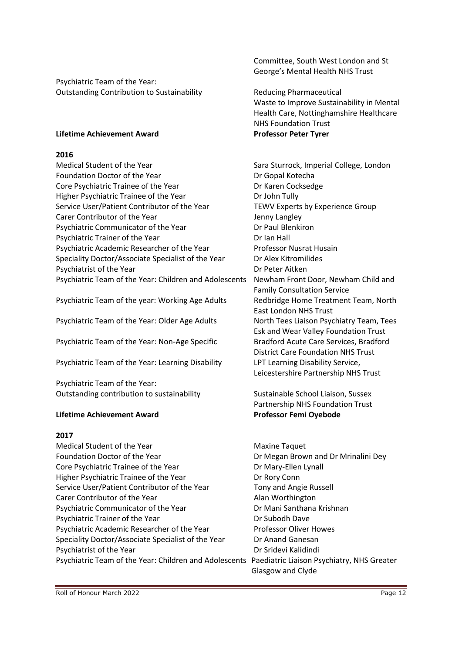Psychiatric Team of the Year: Outstanding Contribution to Sustainability Reducing Pharmaceutical

#### **Lifetime Achievement Award Professor Peter Tyrer**

#### **2016**

Medical Student of the Year Sara Sturrock, Imperial College, London Foundation Doctor of the Year **Dr Gopal Kotecha** Core Psychiatric Trainee of the Year **Dr Karen Cocksedge** Higher Psychiatric Trainee of the Year **Drivers** Dr John Tully Service User/Patient Contributor of the Year TEWV Experts by Experience Group Carer Contributor of the Year **Jenny Langley** Psychiatric Communicator of the Year Dr Paul Blenkiron Psychiatric Trainer of the Year Dr Ian Hall Psychiatric Academic Researcher of the Year Professor Nusrat Husain Speciality Doctor/Associate Specialist of the Year Dr Alex Kitromilides Psychiatrist of the Year **Dr Peter Aitken** Psychiatric Team of the Year: Children and Adolescents Newham Front Door, Newham Child and

Psychiatric Team of the year: Working Age Adults Redbridge Home Treatment Team, North

Psychiatric Team of the Year: Older Age Adults North Tees Liaison Psychiatry Team, Tees

Psychiatric Team of the Year: Non-Age Specific Bradford Acute Care Services, Bradford

Psychiatric Team of the Year: Learning Disability LPT Learning Disability Service,

Psychiatric Team of the Year: Outstanding contribution to sustainability Sustainable School Liaison, Sussex

#### **Lifetime Achievement Award Professor Femi Oyebode**

#### **2017**

Medical Student of the Year Maxine Taquet Foundation Doctor of the Year **Driverse Community** Dr Megan Brown and Dr Mrinalini Dey Core Psychiatric Trainee of the Year **Dr Mary-Ellen Lynall** Higher Psychiatric Trainee of the Year **Dr Rory Conn** Service User/Patient Contributor of the Year Tony and Angie Russell Carer Contributor of the Year Alan Worthington Psychiatric Communicator of the Year **Dream Communicator of the Year Arishnan** Psychiatric Trainer of the Year **Dr Subodh Dave** Dr Subodh Dave Psychiatric Academic Researcher of the Year Professor Oliver Howes Speciality Doctor/Associate Specialist of the Year Dr Anand Ganesan Psychiatrist of the Year Dr Stidevi Kalidindi Psychiatric Team of the Year: Children and Adolescents Paediatric Liaison Psychiatry, NHS Greater

Committee, South West London and St George's Mental Health NHS Trust

Waste to Improve Sustainability in Mental Health Care, Nottinghamshire Healthcare NHS Foundation Trust

Family Consultation Service East London NHS Trust Esk and Wear Valley Foundation Trust District Care Foundation NHS Trust Leicestershire Partnership NHS Trust

Partnership NHS Foundation Trust

Glasgow and Clyde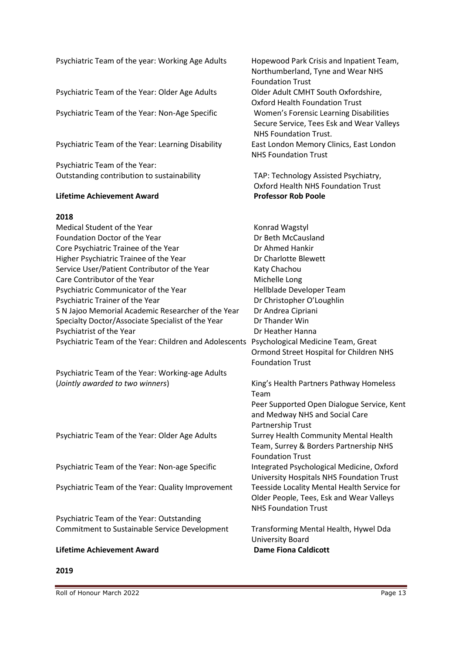| Psychiatric Team of the year: Working Age Adults       | Hopewood Park Crisis and Inpatient Team,<br>Northumberland, Tyne and Wear NHS<br><b>Foundation Trust</b>            |
|--------------------------------------------------------|---------------------------------------------------------------------------------------------------------------------|
| Psychiatric Team of the Year: Older Age Adults         | Older Adult CMHT South Oxfordshire,<br><b>Oxford Health Foundation Trust</b>                                        |
| Psychiatric Team of the Year: Non-Age Specific         | Women's Forensic Learning Disabilities<br>Secure Service, Tees Esk and Wear Valleys<br><b>NHS Foundation Trust.</b> |
| Psychiatric Team of the Year: Learning Disability      | East London Memory Clinics, East London<br><b>NHS Foundation Trust</b>                                              |
| Psychiatric Team of the Year:                          |                                                                                                                     |
| Outstanding contribution to sustainability             | TAP: Technology Assisted Psychiatry,<br>Oxford Health NHS Foundation Trust                                          |
| <b>Lifetime Achievement Award</b>                      | <b>Professor Rob Poole</b>                                                                                          |
| 2018                                                   |                                                                                                                     |
| Medical Student of the Year                            | Konrad Wagstyl                                                                                                      |
| Foundation Doctor of the Year                          | Dr Beth McCausland                                                                                                  |
| Core Psychiatric Trainee of the Year                   | Dr Ahmed Hankir                                                                                                     |
| Higher Psychiatric Trainee of the Year                 | Dr Charlotte Blewett                                                                                                |
| Service User/Patient Contributor of the Year           | Katy Chachou                                                                                                        |
| Care Contributor of the Year                           | Michelle Long                                                                                                       |
| Psychiatric Communicator of the Year                   | Hellblade Developer Team                                                                                            |
| Psychiatric Trainer of the Year                        | Dr Christopher O'Loughlin                                                                                           |
| S N Jajoo Memorial Academic Researcher of the Year     | Dr Andrea Cipriani                                                                                                  |
| Specialty Doctor/Associate Specialist of the Year      | Dr Thander Win                                                                                                      |
| Psychiatrist of the Year                               | Dr Heather Hanna                                                                                                    |
| Psychiatric Team of the Year: Children and Adolescents | Psychological Medicine Team, Great                                                                                  |
|                                                        | Ormond Street Hospital for Children NHS                                                                             |
|                                                        | <b>Foundation Trust</b>                                                                                             |
| Psychiatric Team of the Year: Working-age Adults       |                                                                                                                     |
| (Jointly awarded to two winners)                       | King's Health Partners Pathway Homeless<br>Team                                                                     |
|                                                        | Peer Supported Open Dialogue Service, Kent                                                                          |
|                                                        | and Medway NHS and Social Care                                                                                      |
|                                                        | Partnership Trust                                                                                                   |
| Psychiatric Team of the Year: Older Age Adults         | Surrey Health Community Mental Health<br>Team, Surrey & Borders Partnership NHS                                     |
|                                                        | <b>Foundation Trust</b>                                                                                             |
| Psychiatric Team of the Year: Non-age Specific         | Integrated Psychological Medicine, Oxford                                                                           |
|                                                        | University Hospitals NHS Foundation Trust                                                                           |
| Psychiatric Team of the Year: Quality Improvement      | Teesside Locality Mental Health Service for                                                                         |
|                                                        | Older People, Tees, Esk and Wear Valleys                                                                            |
|                                                        | <b>NHS Foundation Trust</b>                                                                                         |
| Psychiatric Team of the Year: Outstanding              |                                                                                                                     |
| Commitment to Sustainable Service Development          | Transforming Mental Health, Hywel Dda<br>University Board                                                           |
| <b>Lifetime Achievement Award</b>                      | <b>Dame Fiona Caldicott</b>                                                                                         |

#### **2019**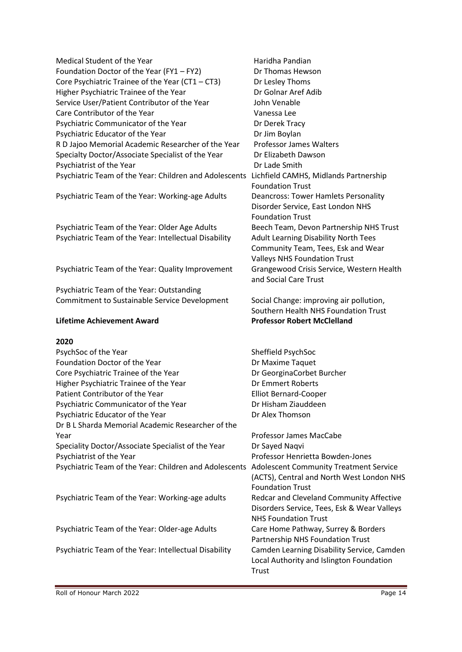| Medical Student of the Year                            | Haridha Pandian         |
|--------------------------------------------------------|-------------------------|
| Foundation Doctor of the Year (FY1 - FY2)              | Dr Thomas Hews          |
| Core Psychiatric Trainee of the Year (CT1 - CT3)       | Dr Lesley Thoms         |
| Higher Psychiatric Trainee of the Year                 | Dr Golnar Aref Ao       |
| Service User/Patient Contributor of the Year           | John Venable            |
| Care Contributor of the Year                           | Vanessa Lee             |
| Psychiatric Communicator of the Year                   | Dr Derek Tracy          |
| Psychiatric Educator of the Year                       | Dr Jim Boylan           |
| R D Jajoo Memorial Academic Researcher of the Year     | Professor James         |
| Specialty Doctor/Associate Specialist of the Year      | Dr Elizabeth Daw        |
| Psychiatrist of the Year                               | Dr Lade Smith           |
| Psychiatric Team of the Year: Children and Adolescents | Lichfield CAMHS,        |
|                                                        | <b>Foundation Trust</b> |
| Psychiatric Team of the Year: Working-age Adults       | <b>Deancross: Tower</b> |
|                                                        | Disorder Service,       |
|                                                        | <b>Foundation Trust</b> |

Psychiatric Team of the Year: Older Age Adults Beech Team, Devon Partnership NHS Trust Psychiatric Team of the Year: Intellectual Disability Adult Learning Disability North Tees

Psychiatric Team of the Year: Quality Improvement Grangewood Crisis Service, Western Health

Psychiatric Team of the Year: Outstanding Commitment to Sustainable Service Development Social Change: improving air pollution,

#### **2020**

| PsychSoc of the Year                                   | Sheffield PsychSoc                            |
|--------------------------------------------------------|-----------------------------------------------|
| Foundation Doctor of the Year                          | Dr Maxime Taquet                              |
| Core Psychiatric Trainee of the Year                   | Dr GeorginaCorbet Burcher                     |
| Higher Psychiatric Trainee of the Year                 | Dr Emmert Roberts                             |
| Patient Contributor of the Year                        | <b>Elliot Bernard-Cooper</b>                  |
| Psychiatric Communicator of the Year                   | Dr Hisham Ziauddeen                           |
| Psychiatric Educator of the Year                       | Dr Alex Thomson                               |
| Dr B L Sharda Memorial Academic Researcher of the      |                                               |
| Year                                                   | Professor James MacCabe                       |
| Speciality Doctor/Associate Specialist of the Year     | Dr Sayed Naqvi                                |
| Psychiatrist of the Year                               | Professor Henrietta Bowden-Jones              |
| Psychiatric Team of the Year: Children and Adolescents | <b>Adolescent Community Treatment Service</b> |
|                                                        | (ACTS), Central and North West London NHS     |
|                                                        | <b>Foundation Trust</b>                       |
| Psychiatric Team of the Year: Working-age adults       | Redcar and Cleveland Community Affective      |
|                                                        | Disorders Service, Tees, Esk & Wear Valleys   |
|                                                        | <b>NHS Foundation Trust</b>                   |
| Psychiatric Team of the Year: Older-age Adults         | Care Home Pathway, Surrey & Borders           |
|                                                        | Partnership NHS Foundation Trust              |
| Psychiatric Team of the Year: Intellectual Disability  | Camden Learning Disability Service, Camden    |
|                                                        | Local Authority and Islington Foundation      |
|                                                        | Trust                                         |

Thomas Hewson Lesley Thoms Golnar Aref Adib In Venable nessa Lee Derek Tracy **Parador** Boylan fessor James Walters Elizabeth Dawson Lade Smith field CAMHS, Midlands Partnership ndation Trust ncross: Tower Hamlets Personality order Service, East London NHS Foundation Trust Community Team, Tees, Esk and Wear Valleys NHS Foundation Trust and Social Care Trust

Southern Health NHS Foundation Trust **Lifetime Achievement Award Professor Robert McClelland**

Roll of Honour March 2022 **Page 14**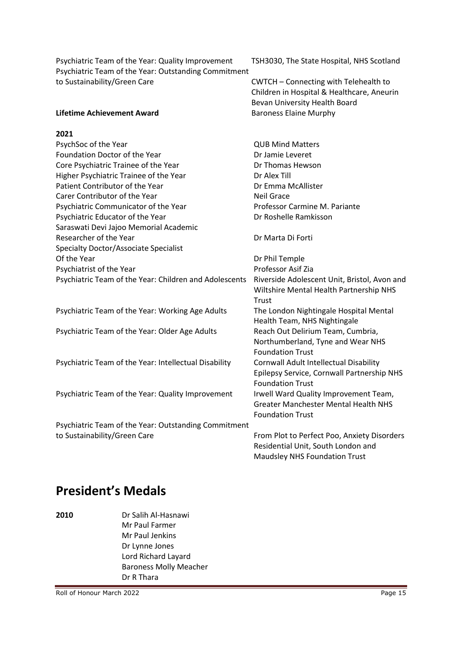Psychiatric Team of the Year: Quality Improvement TSH3030, The State Hospital, NHS Scotland Psychiatric Team of the Year: Outstanding Commitment to Sustainability/Green Care CWTCH – Connecting with Telehealth to

Children in Hospital & Healthcare, Aneurin Bevan University Health Board

#### **Lifetime Achievement Award** Baroness Elaine Murphy

#### **2021**

| PsychSoc of the Year                                   | <b>QUB Mind Matters</b>                      |
|--------------------------------------------------------|----------------------------------------------|
| Foundation Doctor of the Year                          | Dr Jamie Leveret                             |
| Core Psychiatric Trainee of the Year                   | Dr Thomas Hewson                             |
| Higher Psychiatric Trainee of the Year                 | Dr Alex Till                                 |
| Patient Contributor of the Year                        | Dr Emma McAllister                           |
| Carer Contributor of the Year                          | <b>Neil Grace</b>                            |
| Psychiatric Communicator of the Year                   | Professor Carmine M. Pariante                |
| Psychiatric Educator of the Year                       | Dr Roshelle Ramkisson                        |
| Saraswati Devi Jajoo Memorial Academic                 |                                              |
| Researcher of the Year                                 | Dr Marta Di Forti                            |
| Specialty Doctor/Associate Specialist                  |                                              |
| Of the Year                                            | Dr Phil Temple                               |
| Psychiatrist of the Year                               | Professor Asif Zia                           |
| Psychiatric Team of the Year: Children and Adolescents | Riverside Adolescent Unit, Bristol, Avon and |
|                                                        | Wiltshire Mental Health Partnership NHS      |
|                                                        | Trust                                        |
| Psychiatric Team of the Year: Working Age Adults       | The London Nightingale Hospital Mental       |
|                                                        | Health Team, NHS Nightingale                 |
| Psychiatric Team of the Year: Older Age Adults         | Reach Out Delirium Team, Cumbria,            |
|                                                        | Northumberland, Tyne and Wear NHS            |
|                                                        | <b>Foundation Trust</b>                      |
| Psychiatric Team of the Year: Intellectual Disability  | Cornwall Adult Intellectual Disability       |
|                                                        | Epilepsy Service, Cornwall Partnership NHS   |
|                                                        | <b>Foundation Trust</b>                      |
| Psychiatric Team of the Year: Quality Improvement      | Irwell Ward Quality Improvement Team,        |
|                                                        | <b>Greater Manchester Mental Health NHS</b>  |
|                                                        | <b>Foundation Trust</b>                      |
| Psychiatric Team of the Year: Outstanding Commitment   |                                              |
| to Sustainability/Green Care                           | From Plot to Perfect Poo, Anxiety Disorders  |
|                                                        | Residential Unit, South London and           |
|                                                        | Maudsley NHS Foundation Trust                |

## **President's Medals**

**2010** Dr Salih Al-Hasnawi Mr Paul Farmer Mr Paul Jenkins Dr Lynne Jones Lord Richard Layard Baroness Molly Meacher Dr R Thara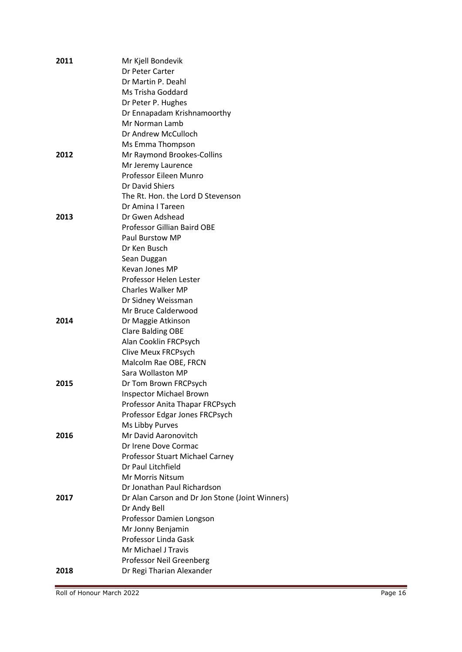| 2011 | Mr Kjell Bondevik                               |
|------|-------------------------------------------------|
|      | Dr Peter Carter                                 |
|      | Dr Martin P. Deahl                              |
|      | Ms Trisha Goddard                               |
|      | Dr Peter P. Hughes                              |
|      | Dr Ennapadam Krishnamoorthy                     |
|      | Mr Norman Lamb                                  |
|      | Dr Andrew McCulloch                             |
|      | Ms Emma Thompson                                |
| 2012 | Mr Raymond Brookes-Collins                      |
|      | Mr Jeremy Laurence                              |
|      | Professor Eileen Munro                          |
|      | Dr David Shiers                                 |
|      | The Rt. Hon. the Lord D Stevenson               |
|      | Dr Amina I Tareen                               |
| 2013 | Dr Gwen Adshead                                 |
|      | <b>Professor Gillian Baird OBE</b>              |
|      | Paul Burstow MP                                 |
|      | Dr Ken Busch                                    |
|      | Sean Duggan                                     |
|      | Kevan Jones MP<br>Professor Helen Lester        |
|      | <b>Charles Walker MP</b>                        |
|      | Dr Sidney Weissman                              |
|      | Mr Bruce Calderwood                             |
| 2014 | Dr Maggie Atkinson                              |
|      | <b>Clare Balding OBE</b>                        |
|      | Alan Cooklin FRCPsych                           |
|      | Clive Meux FRCPsych                             |
|      | Malcolm Rae OBE, FRCN                           |
|      | Sara Wollaston MP                               |
| 2015 | Dr Tom Brown FRCPsych                           |
|      | <b>Inspector Michael Brown</b>                  |
|      | Professor Anita Thapar FRCPsych                 |
|      | Professor Edgar Jones FRCPsych                  |
|      | Ms Libby Purves                                 |
| 2016 | Mr David Aaronovitch                            |
|      | Dr Irene Dove Cormac                            |
|      | Professor Stuart Michael Carney                 |
|      | Dr Paul Litchfield                              |
|      | Mr Morris Nitsum                                |
|      | Dr Jonathan Paul Richardson                     |
| 2017 | Dr Alan Carson and Dr Jon Stone (Joint Winners) |
|      | Dr Andy Bell                                    |
|      | Professor Damien Longson                        |
|      | Mr Jonny Benjamin                               |
|      | Professor Linda Gask                            |
|      | Mr Michael J Travis                             |
|      | Professor Neil Greenberg                        |
| 2018 | Dr Regi Tharian Alexander                       |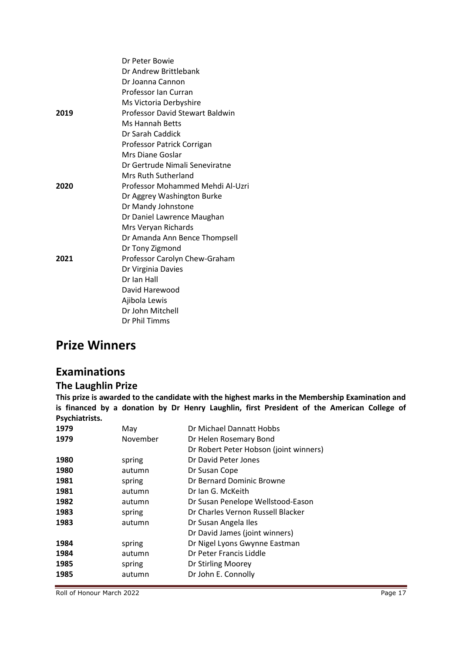|      | Dr Peter Bowie                         |
|------|----------------------------------------|
|      | Dr Andrew Brittlebank                  |
|      | Dr Joanna Cannon                       |
|      | Professor Ian Curran                   |
|      | Ms Victoria Derbyshire                 |
| 2019 | <b>Professor David Stewart Baldwin</b> |
|      | Ms Hannah Betts                        |
|      | Dr Sarah Caddick                       |
|      | Professor Patrick Corrigan             |
|      | Mrs Diane Goslar                       |
|      | Dr Gertrude Nimali Seneviratne         |
|      | Mrs Ruth Sutherland                    |
| 2020 | Professor Mohammed Mehdi Al-Uzri       |
|      | Dr Aggrey Washington Burke             |
|      | Dr Mandy Johnstone                     |
|      | Dr Daniel Lawrence Maughan             |
|      | Mrs Veryan Richards                    |
|      | Dr Amanda Ann Bence Thompsell          |
|      | Dr Tony Zigmond                        |
| 2021 | Professor Carolyn Chew-Graham          |
|      | Dr Virginia Davies                     |
|      | Dr Ian Hall                            |
|      | David Harewood                         |
|      | Ajibola Lewis                          |
|      | Dr John Mitchell                       |
|      | Dr Phil Timms                          |
|      |                                        |

## **Prize Winners**

## **Examinations**

#### **The Laughlin Prize**

**This prize is awarded to the candidate with the highest marks in the Membership Examination and is financed by a donation by Dr Henry Laughlin, first President of the American College of Psychiatrists.**

| 1979 | May      | Dr Michael Dannatt Hobbs               |
|------|----------|----------------------------------------|
| 1979 | November | Dr Helen Rosemary Bond                 |
|      |          | Dr Robert Peter Hobson (joint winners) |
| 1980 | spring   | Dr David Peter Jones                   |
| 1980 | autumn   | Dr Susan Cope                          |
| 1981 | spring   | Dr Bernard Dominic Browne              |
| 1981 | autumn   | Dr Ian G. McKeith                      |
| 1982 | autumn   | Dr Susan Penelope Wellstood-Eason      |
| 1983 | spring   | Dr Charles Vernon Russell Blacker      |
| 1983 | autumn   | Dr Susan Angela Iles                   |
|      |          | Dr David James (joint winners)         |
| 1984 | spring   | Dr Nigel Lyons Gwynne Eastman          |
| 1984 | autumn   | Dr Peter Francis Liddle                |
| 1985 | spring   | Dr Stirling Moorey                     |
| 1985 | autumn   | Dr John E. Connolly                    |
|      |          |                                        |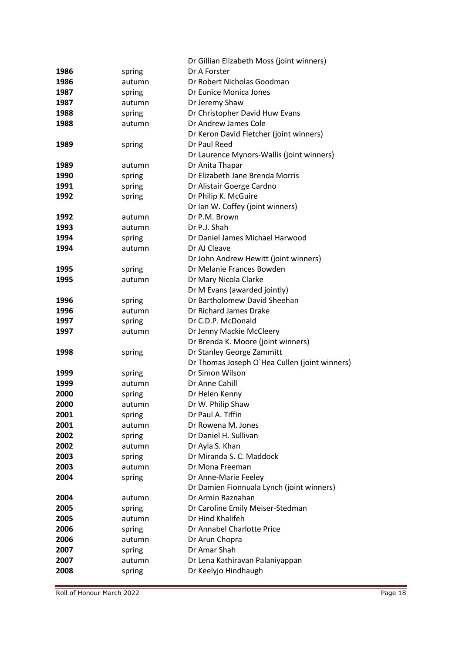|      |        | Dr Gillian Elizabeth Moss (joint winners)     |
|------|--------|-----------------------------------------------|
| 1986 | spring | Dr A Forster                                  |
| 1986 | autumn | Dr Robert Nicholas Goodman                    |
| 1987 | spring | Dr Eunice Monica Jones                        |
| 1987 | autumn | Dr Jeremy Shaw                                |
| 1988 | spring | Dr Christopher David Huw Evans                |
| 1988 | autumn | Dr Andrew James Cole                          |
|      |        | Dr Keron David Fletcher (joint winners)       |
| 1989 | spring | Dr Paul Reed                                  |
|      |        | Dr Laurence Mynors-Wallis (joint winners)     |
| 1989 | autumn | Dr Anita Thapar                               |
| 1990 | spring | Dr Elizabeth Jane Brenda Morris               |
| 1991 | spring | Dr Alistair Goerge Cardno                     |
| 1992 | spring | Dr Philip K. McGuire                          |
|      |        | Dr Ian W. Coffey (joint winners)              |
| 1992 | autumn | Dr P.M. Brown                                 |
| 1993 | autumn | Dr P.J. Shah                                  |
| 1994 | spring | Dr Daniel James Michael Harwood               |
| 1994 | autumn | Dr AJ Cleave                                  |
|      |        | Dr John Andrew Hewitt (joint winners)         |
| 1995 | spring | Dr Melanie Frances Bowden                     |
| 1995 | autumn | Dr Mary Nicola Clarke                         |
|      |        | Dr M Evans (awarded jointly)                  |
| 1996 | spring | Dr Bartholomew David Sheehan                  |
| 1996 | autumn | Dr Richard James Drake                        |
| 1997 | spring | Dr C.D.P. McDonald                            |
| 1997 | autumn | Dr Jenny Mackie McCleery                      |
|      |        | Dr Brenda K. Moore (joint winners)            |
| 1998 | spring | Dr Stanley George Zammitt                     |
|      |        | Dr Thomas Joseph O'Hea Cullen (joint winners) |
| 1999 | spring | Dr Simon Wilson                               |
| 1999 | autumn | Dr Anne Cahill                                |
| 2000 | spring | Dr Helen Kenny                                |
| 2000 | autumn | Dr W. Philip Shaw                             |
| 2001 | spring | Dr Paul A. Tiffin                             |
| 2001 | autumn | Dr Rowena M. Jones                            |
| 2002 | spring | Dr Daniel H. Sullivan                         |
| 2002 | autumn | Dr Ayla S. Khan                               |
| 2003 | spring | Dr Miranda S. C. Maddock                      |
| 2003 | autumn | Dr Mona Freeman                               |
| 2004 | spring | Dr Anne-Marie Feeley                          |
|      |        | Dr Damien Fionnuala Lynch (joint winners)     |
| 2004 | autumn | Dr Armin Raznahan                             |
| 2005 | spring | Dr Caroline Emily Meiser-Stedman              |
| 2005 | autumn | Dr Hind Khalifeh                              |
| 2006 | spring | Dr Annabel Charlotte Price                    |
| 2006 | autumn | Dr Arun Chopra                                |
| 2007 | spring | Dr Amar Shah                                  |
| 2007 | autumn | Dr Lena Kathiravan Palaniyappan               |
| 2008 | spring | Dr Keelyjo Hindhaugh                          |
|      |        |                                               |

Roll of Honour March 2022 Page 18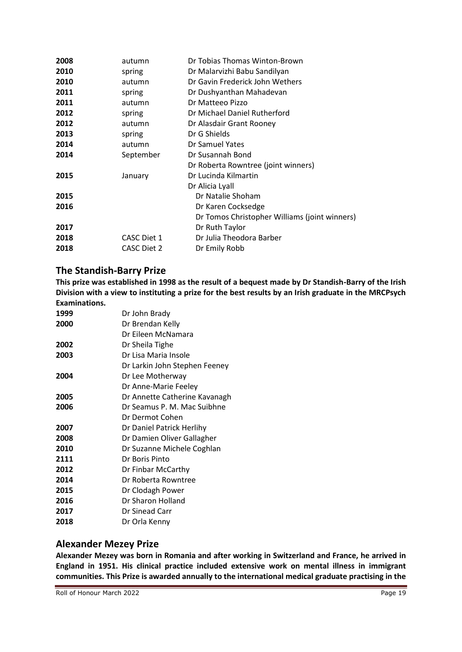| 2008 | autumn             | Dr Tobias Thomas Winton-Brown                 |
|------|--------------------|-----------------------------------------------|
| 2010 | spring             | Dr Malarvizhi Babu Sandilyan                  |
| 2010 | autumn             | Dr Gavin Frederick John Wethers               |
| 2011 | spring             | Dr Dushyanthan Mahadevan                      |
| 2011 | autumn             | Dr Matteeo Pizzo                              |
| 2012 | spring             | Dr Michael Daniel Rutherford                  |
| 2012 | autumn             | Dr Alasdair Grant Rooney                      |
| 2013 | spring             | Dr G Shields                                  |
| 2014 | autumn             | Dr Samuel Yates                               |
| 2014 | September          | Dr Susannah Bond                              |
|      |                    | Dr Roberta Rowntree (joint winners)           |
| 2015 | January            | Dr Lucinda Kilmartin                          |
|      |                    | Dr Alicia Lyall                               |
| 2015 |                    | Dr Natalie Shoham                             |
| 2016 |                    | Dr Karen Cocksedge                            |
|      |                    | Dr Tomos Christopher Williams (joint winners) |
| 2017 |                    | Dr Ruth Taylor                                |
| 2018 | CASC Diet 1        | Dr Julia Theodora Barber                      |
| 2018 | <b>CASC Diet 2</b> | Dr Emily Robb                                 |

#### **The Standish-Barry Prize**

**This prize was established in 1998 as the result of a bequest made by Dr Standish-Barry of the Irish Division with a view to instituting a prize for the best results by an Irish graduate in the MRCPsych Examinations.** 

| 1999 | Dr John Brady                 |
|------|-------------------------------|
| 2000 | Dr Brendan Kelly              |
|      | Dr Eileen McNamara            |
| 2002 | Dr Sheila Tighe               |
| 2003 | Dr Lisa Maria Insole          |
|      | Dr Larkin John Stephen Feeney |
| 2004 | Dr Lee Motherway              |
|      | Dr Anne-Marie Feeley          |
| 2005 | Dr Annette Catherine Kavanagh |
| 2006 | Dr Seamus P. M. Mac Suibhne   |
|      | Dr Dermot Cohen               |
| 2007 | Dr Daniel Patrick Herlihy     |
| 2008 | Dr Damien Oliver Gallagher    |
| 2010 | Dr Suzanne Michele Coghlan    |
| 2111 | Dr Boris Pinto                |
| 2012 | Dr Finbar McCarthy            |
| 2014 | Dr Roberta Rowntree           |
| 2015 | Dr Clodagh Power              |
| 2016 | Dr Sharon Holland             |
| 2017 | Dr Sinead Carr                |
| 2018 | Dr Orla Kenny                 |

#### **Alexander Mezey Prize**

**Alexander Mezey was born in Romania and after working in Switzerland and France, he arrived in England in 1951. His clinical practice included extensive work on mental illness in immigrant communities. This Prize is awarded annually to the international medical graduate practising in the**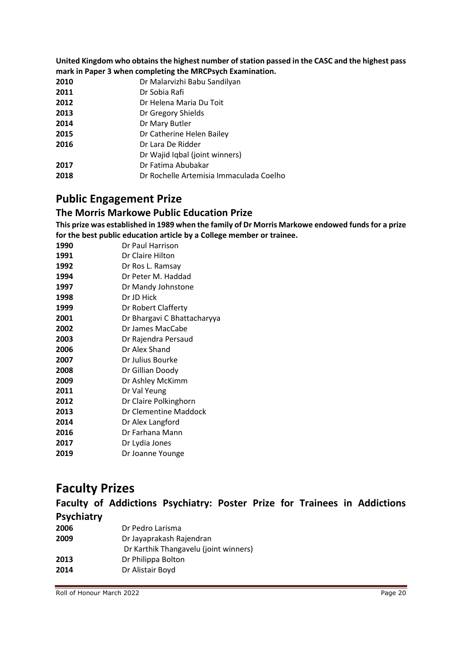**United Kingdom who obtains the highest number of station passed in the CASC and the highest pass mark in Paper 3 when completing the MRCPsych Examination.**

- Dr Malarvizhi Babu Sandilyan
- Dr Sobia Rafi
- Dr Helena Maria Du Toit
- Dr Gregory Shields
- Dr Mary Butler
- Dr Catherine Helen Bailey
- Dr Lara De Ridder
- Dr Wajid Iqbal (joint winners)
- Dr Fatima Abubakar
- Dr Rochelle Artemisia Immaculada Coelho

## **Public Engagement Prize**

#### **The Morris Markowe Public Education Prize**

**This prize was established in 1989 when the family of Dr Morris Markowe endowed funds for a prize for the best public education article by a College member or trainee.**

- Dr Paul Harrison Dr Claire Hilton Dr Ros L. Ramsay Dr Peter M. Haddad Dr Mandy Johnstone Dr JD Hick Dr Robert Clafferty Dr Bhargavi C Bhattacharyya Dr James MacCabe Dr Rajendra Persaud Dr Alex Shand Dr Julius Bourke Dr Gillian Doody Dr Ashley McKimm Dr Val Yeung Dr Claire Polkinghorn Dr Clementine Maddock Dr Alex Langford Dr Farhana Mann
- Dr Lydia Jones
- Dr Joanne Younge

## **Faculty Prizes**

**Faculty of Addictions Psychiatry: Poster Prize for Trainees in Addictions Psychiatry**

| 2006 | Dr Pedro Larisma                      |
|------|---------------------------------------|
| 2009 | Dr Jayaprakash Rajendran              |
|      | Dr Karthik Thangavelu (joint winners) |
| 2013 | Dr Philippa Bolton                    |
| 2014 | Dr Alistair Boyd                      |
|      |                                       |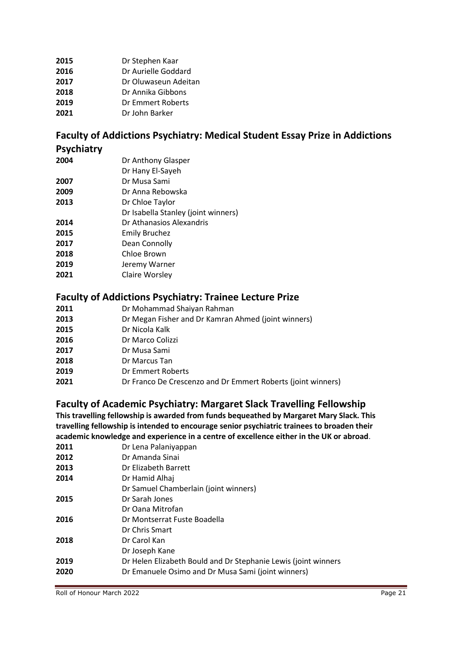Dr Stephen Kaar Dr Aurielle Goddard Dr Oluwaseun Adeitan Dr Annika Gibbons Dr Emmert Roberts Dr John Barker

# **Faculty of Addictions Psychiatry: Medical Student Essay Prize in Addictions**

#### **Psychiatry**

| 2004 | Dr Anthony Glasper                  |
|------|-------------------------------------|
|      | Dr Hany El-Sayeh                    |
| 2007 | Dr Musa Sami                        |
| 2009 | Dr Anna Rebowska                    |
| 2013 | Dr Chloe Taylor                     |
|      | Dr Isabella Stanley (joint winners) |
| 2014 | Dr Athanasios Alexandris            |
| 2015 | <b>Emily Bruchez</b>                |
| 2017 | Dean Connolly                       |
| 2018 | Chloe Brown                         |
| 2019 | Jeremy Warner                       |
|      |                                     |

Claire Worsley

#### **Faculty of Addictions Psychiatry: Trainee Lecture Prize**

- Dr Mohammad Shaiyan Rahman
- Dr Megan Fisher and Dr Kamran Ahmed (joint winners)
- Dr Nicola Kalk
- Dr Marco Colizzi
- Dr Musa Sami
- Dr Marcus Tan
- Dr Emmert Roberts
- Dr Franco De Crescenzo and Dr Emmert Roberts (joint winners)

### **Faculty of Academic Psychiatry: Margaret Slack Travelling Fellowship**

**This travelling fellowship is awarded from funds bequeathed by Margaret Mary Slack. This travelling fellowship is intended to encourage senior psychiatric trainees to broaden their academic knowledge and experience in a centre of excellence either in the UK or abroad**.

| 2011 | Dr Lena Palaniyappan                                           |
|------|----------------------------------------------------------------|
| 2012 | Dr Amanda Sinai                                                |
| 2013 | Dr Elizabeth Barrett                                           |
| 2014 | Dr Hamid Alhai                                                 |
|      | Dr Samuel Chamberlain (joint winners)                          |
| 2015 | Dr Sarah Jones                                                 |
|      | Dr Oana Mitrofan                                               |
| 2016 | Dr Montserrat Fuste Boadella                                   |
|      | Dr Chris Smart                                                 |
| 2018 | Dr Carol Kan                                                   |
|      | Dr Joseph Kane                                                 |
| 2019 | Dr Helen Elizabeth Bould and Dr Stephanie Lewis (joint winners |
| 2020 | Dr Emanuele Osimo and Dr Musa Sami (joint winners)             |
|      |                                                                |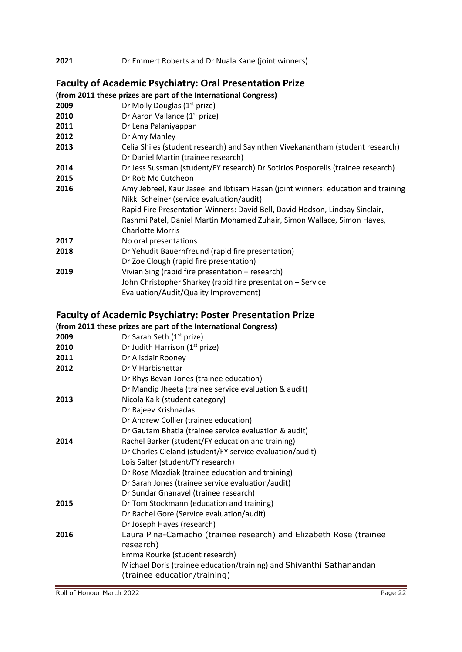| 2021 | Dr Emmert Roberts and Dr Nuala Kane (joint winners) |  |
|------|-----------------------------------------------------|--|
|      |                                                     |  |

## **Faculty of Academic Psychiatry: Oral Presentation Prize**

|      | (from 2011 these prizes are part of the International Congress)                                                                |
|------|--------------------------------------------------------------------------------------------------------------------------------|
| 2009 | Dr Molly Douglas (1 <sup>st</sup> prize)                                                                                       |
| 2010 | Dr Aaron Vallance (1 <sup>st</sup> prize)                                                                                      |
| 2011 | Dr Lena Palaniyappan                                                                                                           |
| 2012 | Dr Amy Manley                                                                                                                  |
| 2013 | Celia Shiles (student research) and Sayinthen Vivekanantham (student research)<br>Dr Daniel Martin (trainee research)          |
| 2014 | Dr Jess Sussman (student/FY research) Dr Sotirios Posporelis (trainee research)                                                |
| 2015 | Dr Rob Mc Cutcheon                                                                                                             |
| 2016 | Amy Jebreel, Kaur Jaseel and Ibtisam Hasan (joint winners: education and training<br>Nikki Scheiner (service evaluation/audit) |
|      | Rapid Fire Presentation Winners: David Bell, David Hodson, Lindsay Sinclair,                                                   |
|      | Rashmi Patel, Daniel Martin Mohamed Zuhair, Simon Wallace, Simon Hayes,<br><b>Charlotte Morris</b>                             |
| 2017 | No oral presentations                                                                                                          |
| 2018 | Dr Yehudit Bauernfreund (rapid fire presentation)                                                                              |
|      | Dr Zoe Clough (rapid fire presentation)                                                                                        |
| 2019 | Vivian Sing (rapid fire presentation - research)                                                                               |
|      | John Christopher Sharkey (rapid fire presentation - Service                                                                    |
|      | Evaluation/Audit/Quality Improvement)                                                                                          |
|      |                                                                                                                                |

## **Faculty of Academic Psychiatry: Poster Presentation Prize**

|      | (from 2011 these prizes are part of the International Congress)                |
|------|--------------------------------------------------------------------------------|
| 2009 | Dr Sarah Seth (1 <sup>st</sup> prize)                                          |
| 2010 | Dr Judith Harrison (1 <sup>st</sup> prize)                                     |
| 2011 | Dr Alisdair Rooney                                                             |
| 2012 | Dr V Harbishettar                                                              |
|      | Dr Rhys Bevan-Jones (trainee education)                                        |
|      | Dr Mandip Jheeta (trainee service evaluation & audit)                          |
| 2013 | Nicola Kalk (student category)                                                 |
|      | Dr Rajeev Krishnadas                                                           |
|      | Dr Andrew Collier (trainee education)                                          |
|      | Dr Gautam Bhatia (trainee service evaluation & audit)                          |
| 2014 | Rachel Barker (student/FY education and training)                              |
|      | Dr Charles Cleland (student/FY service evaluation/audit)                       |
|      | Lois Salter (student/FY research)                                              |
|      | Dr Rose Mozdiak (trainee education and training)                               |
|      | Dr Sarah Jones (trainee service evaluation/audit)                              |
|      | Dr Sundar Gnanavel (trainee research)                                          |
| 2015 | Dr Tom Stockmann (education and training)                                      |
|      | Dr Rachel Gore (Service evaluation/audit)                                      |
|      | Dr Joseph Hayes (research)                                                     |
| 2016 | Laura Pina-Camacho (trainee research) and Elizabeth Rose (trainee<br>research) |
|      | Emma Rourke (student research)                                                 |
|      | Michael Doris (trainee education/training) and Shivanthi Sathanandan           |
|      | (trainee education/training)                                                   |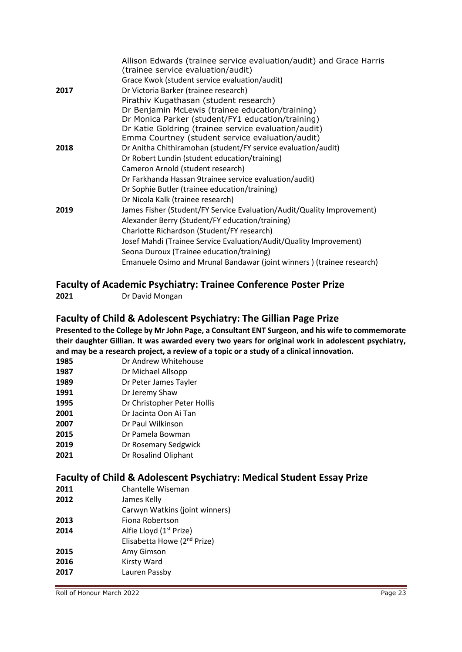|      | Allison Edwards (trainee service evaluation/audit) and Grace Harris<br>(trainee service evaluation/audit) |
|------|-----------------------------------------------------------------------------------------------------------|
|      | Grace Kwok (student service evaluation/audit)                                                             |
| 2017 | Dr Victoria Barker (trainee research)                                                                     |
|      | Pirathiv Kugathasan (student research)                                                                    |
|      | Dr Benjamin McLewis (trainee education/training)                                                          |
|      | Dr Monica Parker (student/FY1 education/training)                                                         |
|      | Dr Katie Goldring (trainee service evaluation/audit)                                                      |
|      | Emma Courtney (student service evaluation/audit)                                                          |
| 2018 | Dr Anitha Chithiramohan (student/FY service evaluation/audit)                                             |
|      | Dr Robert Lundin (student education/training)                                                             |
|      | Cameron Arnold (student research)                                                                         |
|      | Dr Farkhanda Hassan 9trainee service evaluation/audit)                                                    |
|      | Dr Sophie Butler (trainee education/training)                                                             |
|      | Dr Nicola Kalk (trainee research)                                                                         |
| 2019 | James Fisher (Student/FY Service Evaluation/Audit/Quality Improvement)                                    |
|      | Alexander Berry (Student/FY education/training)                                                           |
|      | Charlotte Richardson (Student/FY research)                                                                |
|      | Josef Mahdi (Trainee Service Evaluation/Audit/Quality Improvement)                                        |
|      | Seona Duroux (Trainee education/training)                                                                 |
|      | Emanuele Osimo and Mrunal Bandawar (joint winners) (trainee research)                                     |
|      |                                                                                                           |

#### **Faculty of Academic Psychiatry: Trainee Conference Poster Prize**

#### **Faculty of Child & Adolescent Psychiatry: The Gillian Page Prize**

**Presented to the College by Mr John Page, a Consultant ENT Surgeon, and his wife to commemorate their daughter Gillian. It was awarded every two years for original work in adolescent psychiatry, and may be a research project, a review of a topic or a study of a clinical innovation.**

- **1985** Dr Andrew Whitehouse
- **1987** Dr Michael Allsopp
- **1989** Dr Peter James Tayler
- **1991** Dr Jeremy Shaw
- **1995** Dr Christopher Peter Hollis
- **2001** Dr Jacinta Oon Ai Tan
- **2007** Dr Paul Wilkinson
- **2015** Dr Pamela Bowman
- **2019** Dr Rosemary Sedgwick
- **2021** Dr Rosalind Oliphant

#### **Faculty of Child & Adolescent Psychiatry: Medical Student Essay Prize**

- **2011** Chantelle Wiseman
- **2012** James Kelly
- Carwyn Watkins (joint winners)
- **2013** Fiona Robertson
- **2014** Alfie Lloyd (1<sup>st</sup> Prize)
- Elisabetta Howe (2nd Prize)
- **2015** Amy Gimson
- **2016** Kirsty Ward
- **2017** Lauren Passby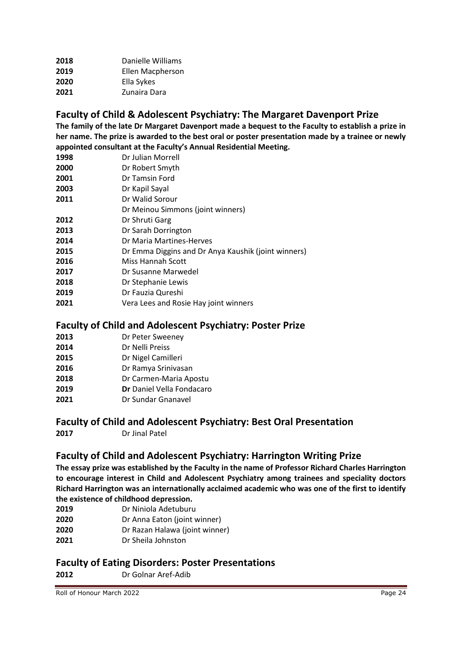| Danielle Williams |
|-------------------|
| Ellen Macpherson  |
| Ella Sykes        |
| Zunaira Dara      |
|                   |

## **Faculty of Child & Adolescent Psychiatry: The Margaret Davenport Prize**

**The family of the late Dr Margaret Davenport made a bequest to the Faculty to establish a prize in her name. The prize is awarded to the best oral or poster presentation made by a trainee or newly appointed consultant at the Faculty's Annual Residential Meeting.** 

- Dr Julian Morrell
- Dr Robert Smyth
- Dr Tamsin Ford
- Dr Kapil Sayal
- Dr Walid Sorour
- Dr Meinou Simmons (joint winners)
- Dr Shruti Garg
- Dr Sarah Dorrington
- Dr Maria Martines-Herves
- Dr Emma Diggins and Dr Anya Kaushik (joint winners)
- Miss Hannah Scott
- Dr Susanne Marwedel
- Dr Stephanie Lewis
- Dr Fauzia Qureshi
- Vera Lees and Rosie Hay joint winners

#### **Faculty of Child and Adolescent Psychiatry: Poster Prize**

- Dr Peter Sweeney
- Dr Nelli Preiss
- Dr Nigel Camilleri
- Dr Ramya Srinivasan
- Dr Carmen-Maria Apostu
- **Dr** Daniel Vella Fondacaro
- Dr Sundar Gnanavel

#### **Faculty of Child and Adolescent Psychiatry: Best Oral Presentation**

Dr Jinal Patel

#### **Faculty of Child and Adolescent Psychiatry: Harrington Writing Prize**

**The essay prize was established by the Faculty in the name of Professor Richard Charles Harrington to encourage interest in Child and Adolescent Psychiatry among trainees and speciality doctors Richard Harrington was an internationally acclaimed academic who was one of the first to identify the existence of childhood depression.**

- Dr Niniola Adetuburu
- Dr Anna Eaton (joint winner)
- Dr Razan Halawa (joint winner)
- Dr Sheila Johnston

#### **Faculty of Eating Disorders: Poster Presentations**

Dr Golnar Aref-Adib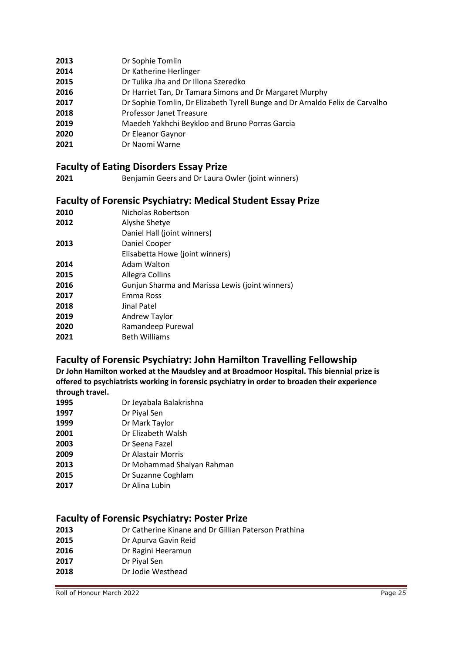- Dr Sophie Tomlin
- Dr Katherine Herlinger
- Dr Tulika Jha and Dr Illona Szeredko
- Dr Harriet Tan, Dr Tamara Simons and Dr Margaret Murphy
- Dr Sophie Tomlin, Dr Elizabeth Tyrell Bunge and Dr Arnaldo Felix de Carvalho
- Professor Janet Treasure
- Maedeh Yakhchi Beykloo and Bruno Porras Garcia
- Dr Eleanor Gaynor
- Dr Naomi Warne

#### **Faculty of Eating Disorders Essay Prize**

Benjamin Geers and Dr Laura Owler (joint winners)

## **Faculty of Forensic Psychiatry: Medical Student Essay Prize**

| <b>Faculty Of Forensic Fayermatry. Medical Student Essay</b> |
|--------------------------------------------------------------|
| Nicholas Robertson                                           |
| Alyshe Shetye                                                |
| Daniel Hall (joint winners)                                  |
| Daniel Cooper                                                |
| Elisabetta Howe (joint winners)                              |
| Adam Walton                                                  |
| Allegra Collins                                              |
| Gunjun Sharma and Marissa Lewis (joint winners)              |
| Emma Ross                                                    |
| Jinal Patel                                                  |
| <b>Andrew Taylor</b>                                         |
| Ramandeep Purewal                                            |
| <b>Beth Williams</b>                                         |
|                                                              |

### **Faculty of Forensic Psychiatry: John Hamilton Travelling Fellowship**

**Dr John Hamilton worked at the Maudsley and at Broadmoor Hospital. This biennial prize is offered to psychiatrists working in forensic psychiatry in order to broaden their experience through travel.**

- Dr Jeyabala Balakrishna
- Dr Piyal Sen
- Dr Mark Taylor
- Dr Elizabeth Walsh
- Dr Seena Fazel
- Dr Alastair Morris
- Dr Mohammad Shaiyan Rahman
- Dr Suzanne Coghlam
- Dr Alina Lubin

#### **Faculty of Forensic Psychiatry: Poster Prize**

- Dr Catherine Kinane and Dr Gillian Paterson Prathina
- Dr Apurva Gavin Reid
- Dr Ragini Heeramun
- Dr Piyal Sen
- Dr Jodie Westhead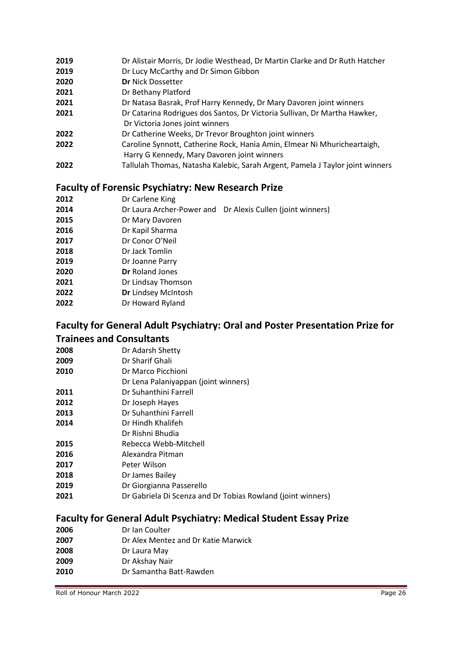- Dr Alistair Morris, Dr Jodie Westhead, Dr Martin Clarke and Dr Ruth Hatcher
- Dr Lucy McCarthy and Dr Simon Gibbon
- **Dr** Nick Dossetter
- Dr Bethany Platford
- Dr Natasa Basrak, Prof Harry Kennedy, Dr Mary Davoren joint winners
- Dr Catarina Rodrigues dos Santos, Dr Victoria Sullivan, Dr Martha Hawker, Dr Victoria Jones joint winners
- Dr Catherine Weeks, Dr Trevor Broughton joint winners
- Caroline Synnott, Catherine Rock, Hania Amin, Elmear Ni Mhuricheartaigh, Harry G Kennedy, Mary Davoren joint winners
- Tallulah Thomas, Natasha Kalebic, Sarah Argent, Pamela J Taylor joint winners

## **Faculty of Forensic Psychiatry: New Research Prize**

- Dr Carlene King
- Dr Laura Archer-Power and Dr Alexis Cullen (joint winners)
- Dr Mary Davoren
- Dr Kapil Sharma
- Dr Conor O'Neil
- Dr Jack Tomlin
- Dr Joanne Parry
- **Dr** Roland Jones
- Dr Lindsay Thomson
- **Dr** Lindsey McIntosh
- Dr Howard Ryland

### **Faculty for General Adult Psychiatry: Oral and Poster Presentation Prize for Trainees and Consultants**

- Dr Adarsh Shetty
- Dr Sharif Ghali
- Dr Marco Picchioni
- Dr Lena Palaniyappan (joint winners)
- Dr Suhanthini Farrell
- Dr Joseph Hayes
- Dr Suhanthini Farrell
- Dr Hindh Khalifeh
- Dr Rishni Bhudia
- Rebecca Webb-Mitchell
- Alexandra Pitman
- Peter Wilson
- Dr James Bailey
- Dr Giorgianna Passerello
- Dr Gabriela Di Scenza and Dr Tobias Rowland (joint winners)

## **Faculty for General Adult Psychiatry: Medical Student Essay Prize**

- Dr Ian Coulter
- Dr Alex Mentez and Dr Katie Marwick
- Dr Laura May
- Dr Akshay Nair
- Dr Samantha Batt-Rawden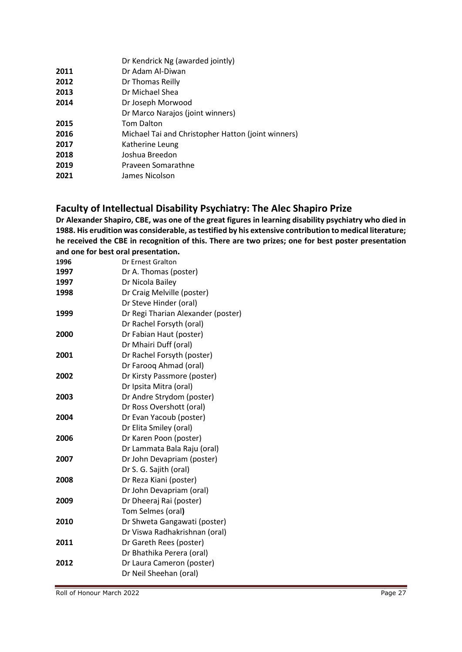| Dr Adam Al-Diwan<br>2011<br>2012<br>Dr Thomas Reilly<br>2013<br>Dr Michael Shea<br>2014<br>Dr Joseph Morwood<br>Dr Marco Narajos (joint winners) |  |
|--------------------------------------------------------------------------------------------------------------------------------------------------|--|
|                                                                                                                                                  |  |
|                                                                                                                                                  |  |
|                                                                                                                                                  |  |
|                                                                                                                                                  |  |
|                                                                                                                                                  |  |
| <b>Tom Dalton</b><br>2015                                                                                                                        |  |
| 2016<br>Michael Tai and Christopher Hatton (joint winners)                                                                                       |  |
| 2017<br>Katherine Leung                                                                                                                          |  |
| Joshua Breedon<br>2018                                                                                                                           |  |
| 2019<br>Praveen Somarathne                                                                                                                       |  |
| 2021<br>James Nicolson                                                                                                                           |  |

## **Faculty of Intellectual Disability Psychiatry: The Alec Shapiro Prize**

**Dr Alexander Shapiro, CBE, was one of the great figures in learning disability psychiatry who died in 1988. His erudition was considerable, as testified by his extensive contribution to medical literature; he received the CBE in recognition of this. There are two prizes; one for best poster presentation and one for best oral presentation.**

**1996** Dr Ernest Gralton

| 1997 | Dr A. Thomas (poster)              |
|------|------------------------------------|
| 1997 | Dr Nicola Bailey                   |
| 1998 | Dr Craig Melville (poster)         |
|      | Dr Steve Hinder (oral)             |
| 1999 | Dr Regi Tharian Alexander (poster) |
|      | Dr Rachel Forsyth (oral)           |
| 2000 | Dr Fabian Haut (poster)            |
|      | Dr Mhairi Duff (oral)              |
| 2001 | Dr Rachel Forsyth (poster)         |
|      | Dr Farooq Ahmad (oral)             |
| 2002 | Dr Kirsty Passmore (poster)        |
|      | Dr Ipsita Mitra (oral)             |
| 2003 | Dr Andre Strydom (poster)          |
|      | Dr Ross Overshott (oral)           |
| 2004 | Dr Evan Yacoub (poster)            |
|      | Dr Elita Smiley (oral)             |
| 2006 | Dr Karen Poon (poster)             |
|      | Dr Lammata Bala Raju (oral)        |
| 2007 | Dr John Devapriam (poster)         |
|      | Dr S. G. Sajith (oral)             |
| 2008 | Dr Reza Kiani (poster)             |
|      | Dr John Devapriam (oral)           |
| 2009 | Dr Dheeraj Rai (poster)            |
|      | Tom Selmes (oral)                  |
| 2010 | Dr Shweta Gangawati (poster)       |
|      | Dr Viswa Radhakrishnan (oral)      |
| 2011 | Dr Gareth Rees (poster)            |
|      | Dr Bhathika Perera (oral)          |
| 2012 | Dr Laura Cameron (poster)          |
|      | Dr Neil Sheehan (oral)             |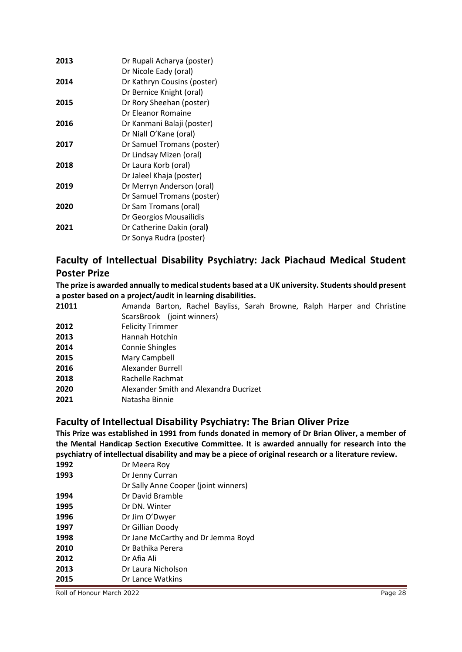| 2013 | Dr Rupali Acharya (poster)  |
|------|-----------------------------|
|      | Dr Nicole Eady (oral)       |
| 2014 | Dr Kathryn Cousins (poster) |
|      | Dr Bernice Knight (oral)    |
| 2015 | Dr Rory Sheehan (poster)    |
|      | Dr Eleanor Romaine          |
| 2016 | Dr Kanmani Balaji (poster)  |
|      | Dr Niall O'Kane (oral)      |
| 2017 | Dr Samuel Tromans (poster)  |
|      | Dr Lindsay Mizen (oral)     |
| 2018 | Dr Laura Korb (oral)        |
|      | Dr Jaleel Khaja (poster)    |
| 2019 | Dr Merryn Anderson (oral)   |
|      | Dr Samuel Tromans (poster)  |
| 2020 | Dr Sam Tromans (oral)       |
|      | Dr Georgios Mousailidis     |
| 2021 | Dr Catherine Dakin (oral)   |
|      | Dr Sonya Rudra (poster)     |

## **Faculty of Intellectual Disability Psychiatry: Jack Piachaud Medical Student Poster Prize**

**The prize is awarded annually to medical students based at a UK university. Students should present a poster based on a project/audit in learning disabilities.**

- **21011** Amanda Barton, Rachel Bayliss, Sarah Browne, Ralph Harper and Christine ScarsBrook (joint winners)
- **2012** Felicity Trimmer
- **2013** Hannah Hotchin
- **2014** Connie Shingles
- **2015** Mary Campbell
- **2016** Alexander Burrell
- **2018** Rachelle Rachmat
- **2020** Alexander Smith and Alexandra Ducrizet
- **2021** Natasha Binnie

#### **Faculty of Intellectual Disability Psychiatry: The Brian Oliver Prize**

**This Prize was established in 1991 from funds donated in memory of Dr Brian Oliver, a member of the Mental Handicap Section Executive Committee. It is awarded annually for research into the psychiatry of intellectual disability and may be a piece of original research or a literature review.**

| 1992 | Dr Meera Roy                         |
|------|--------------------------------------|
| 1993 | Dr Jenny Curran                      |
|      | Dr Sally Anne Cooper (joint winners) |
| 1994 | Dr David Bramble                     |
| 1995 | Dr DN, Winter                        |
| 1996 | Dr Jim O'Dwyer                       |
| 1997 | Dr Gillian Doody                     |
| 1998 | Dr Jane McCarthy and Dr Jemma Boyd   |
| 2010 | Dr Bathika Perera                    |
| 2012 | Dr Afia Ali                          |
| 2013 | Dr Laura Nicholson                   |
| 2015 | Dr Lance Watkins                     |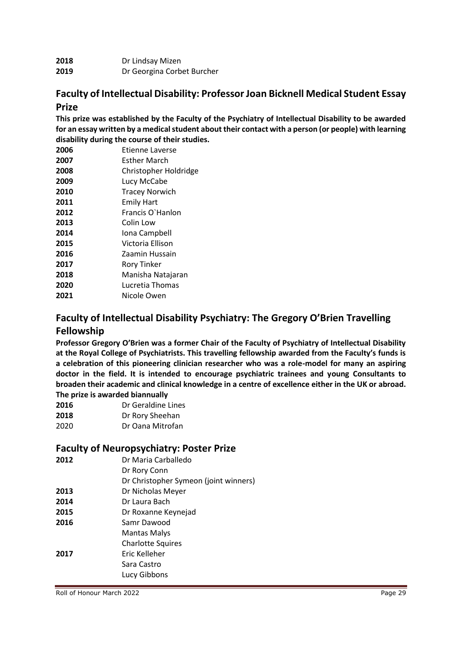| 2018 | Dr Lindsay Mizen           |
|------|----------------------------|
| 2019 | Dr Georgina Corbet Burcher |

#### **Faculty of Intellectual Disability: Professor Joan Bicknell Medical Student Essay Prize**

**This prize was established by the Faculty of the Psychiatry of Intellectual Disability to be awarded for an essay written by a medical student about their contact with a person (or people) with learning disability during the course of their studies.**

| 2006 | Etienne Laverse       |
|------|-----------------------|
| 2007 | <b>Esther March</b>   |
| 2008 | Christopher Holdridge |
| 2009 | Lucy McCabe           |
| 2010 | <b>Tracey Norwich</b> |
| 2011 | <b>Emily Hart</b>     |
| 2012 | Francis O'Hanlon      |
| 2013 | Colin Low             |
| 2014 | Iona Campbell         |
| 2015 | Victoria Ellison      |
| 2016 | Zaamin Hussain        |
| 2017 | <b>Rory Tinker</b>    |
| 2018 | Manisha Natajaran     |
| 2020 | Lucretia Thomas       |
| 2021 | Nicole Owen           |
|      |                       |

## **Faculty of Intellectual Disability Psychiatry: The Gregory O'Brien Travelling Fellowship**

**Professor Gregory O'Brien was a former Chair of the Faculty of Psychiatry of Intellectual Disability at the Royal College of Psychiatrists. This travelling fellowship awarded from the Faculty's funds is a celebration of this pioneering clinician researcher who was a role-model for many an aspiring doctor in the field. It is intended to encourage psychiatric trainees and young Consultants to broaden their academic and clinical knowledge in a centre of excellence either in the UK or abroad. The prize is awarded biannually**

| 2016 | Dr Geraldine Lines |
|------|--------------------|
| 2018 | Dr Rory Sheehan    |
| 2020 | Dr Oana Mitrofan   |

#### **Faculty of Neuropsychiatry: Poster Prize**

| 2012 | Dr Maria Carballedo                   |
|------|---------------------------------------|
|      | Dr Rory Conn                          |
|      | Dr Christopher Symeon (joint winners) |
| 2013 | Dr Nicholas Meyer                     |
| 2014 | Dr Laura Bach                         |
| 2015 | Dr Roxanne Keynejad                   |
| 2016 | Samr Dawood                           |
|      | <b>Mantas Malys</b>                   |
|      | <b>Charlotte Squires</b>              |
| 2017 | Eric Kelleher                         |
|      | Sara Castro                           |
|      | Lucy Gibbons                          |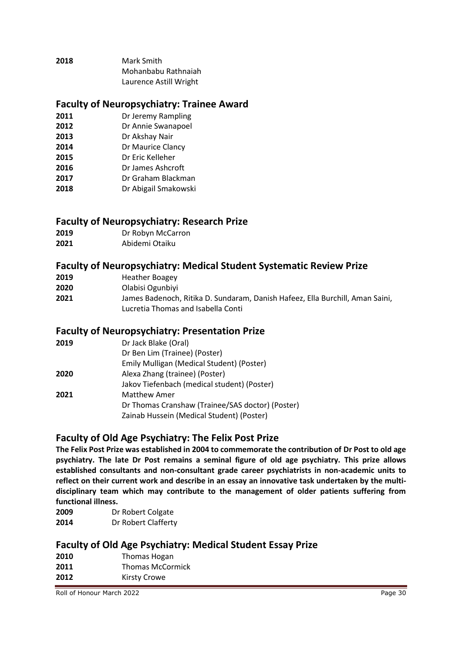| 2018 | Mark Smith             |
|------|------------------------|
|      | Mohanbabu Rathnaiah    |
|      | Laurence Astill Wright |

#### **Faculty of Neuropsychiatry: Trainee Award**

- **2011** Dr Jeremy Rampling
- **2012** Dr Annie Swanapoel
- **2013** Dr Akshay Nair
- **2014** Dr Maurice Clancy
- **2015** Dr Eric Kelleher
- **2016** Dr James Ashcroft
- **2017** Dr Graham Blackman
- **2018** Dr Abigail Smakowski

#### **Faculty of Neuropsychiatry: Research Prize**

- **2019** Dr Robyn McCarron
- **2021** Abidemi Otaiku

#### **Faculty of Neuropsychiatry: Medical Student Systematic Review Prize**

| 2019 | <b>Heather Boagey</b> |
|------|-----------------------|
|      |                       |

- **2020** Olabisi Ogunbiyi
- **2021** James Badenoch, Ritika D. Sundaram, Danish Hafeez, Ella Burchill, Aman Saini, Lucretia Thomas and Isabella Conti

#### **Faculty of Neuropsychiatry: Presentation Prize**

| 2019 | Dr Jack Blake (Oral)                                                                          |
|------|-----------------------------------------------------------------------------------------------|
|      | Dr Ben Lim (Trainee) (Poster)                                                                 |
|      | Emily Mulligan (Medical Student) (Poster)                                                     |
| 2020 | Alexa Zhang (trainee) (Poster)                                                                |
|      | Jakov Tiefenbach (medical student) (Poster)                                                   |
| 2021 | <b>Matthew Amer</b>                                                                           |
|      | Dr Thomas Cranshaw (Trainee/SAS doctor) (Poster)<br>Zainab Hussein (Medical Student) (Poster) |
|      |                                                                                               |

### **Faculty of Old Age Psychiatry: The Felix Post Prize**

**The Felix Post Prize was established in 2004 to commemorate the contribution of Dr Post to old age psychiatry. The late Dr Post remains a seminal figure of old age psychiatry. This prize allows established consultants and non-consultant grade career psychiatrists in non-academic units to reflect on their current work and describe in an essay an innovative task undertaken by the multidisciplinary team which may contribute to the management of older patients suffering from functional illness.**

| 2009 | Dr Robert Colgate   |
|------|---------------------|
| 2014 | Dr Robert Clafferty |

#### **Faculty of Old Age Psychiatry: Medical Student Essay Prize**

| 2010 | Thomas Hogan            |
|------|-------------------------|
| 2011 | <b>Thomas McCormick</b> |
| 2012 | Kirsty Crowe            |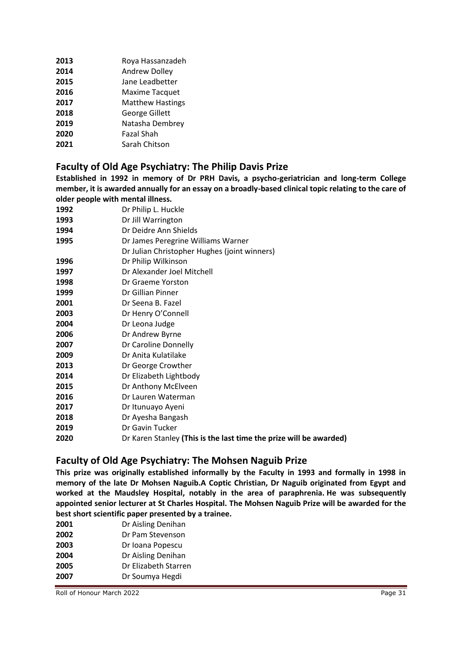| 2013 | Roya Hassanzadeh        |
|------|-------------------------|
| 2014 | Andrew Dolley           |
| 2015 | Jane Leadbetter         |
| 2016 | Maxime Tacquet          |
| 2017 | <b>Matthew Hastings</b> |
| 2018 | George Gillett          |
| 2019 | Natasha Dembrey         |
| 2020 | <b>Fazal Shah</b>       |
| 2021 | Sarah Chitson           |
|      |                         |

#### **Faculty of Old Age Psychiatry: The Philip Davis Prize**

**Established in 1992 in memory of Dr PRH Davis, a psycho-geriatrician and long-term College member, it is awarded annually for an essay on a broadly-based clinical topic relating to the care of older people with mental illness.**

| Dr Philip L. Huckle                                                |
|--------------------------------------------------------------------|
| Dr Jill Warrington                                                 |
| Dr Deidre Ann Shields                                              |
| Dr James Peregrine Williams Warner                                 |
| Dr Julian Christopher Hughes (joint winners)                       |
| Dr Philip Wilkinson                                                |
| Dr Alexander Joel Mitchell                                         |
| Dr Graeme Yorston                                                  |
| Dr Gillian Pinner                                                  |
| Dr Seena B. Fazel                                                  |
| Dr Henry O'Connell                                                 |
| Dr Leona Judge                                                     |
| Dr Andrew Byrne                                                    |
| Dr Caroline Donnelly                                               |
| Dr Anita Kulatilake                                                |
| Dr George Crowther                                                 |
| Dr Elizabeth Lightbody                                             |
| Dr Anthony McElveen                                                |
| Dr Lauren Waterman                                                 |
| Dr Itunuayo Ayeni                                                  |
| Dr Ayesha Bangash                                                  |
| Dr Gavin Tucker                                                    |
| Dr Karen Stanley (This is the last time the prize will be awarded) |
|                                                                    |

#### **Faculty of Old Age Psychiatry: The Mohsen Naguib Prize**

**This prize was originally established informally by the Faculty in 1993 and formally in 1998 in memory of the late Dr Mohsen Naguib.A Coptic Christian, Dr Naguib originated from Egypt and worked at the Maudsley Hospital, notably in the area of paraphrenia. He was subsequently appointed senior lecturer at St Charles Hospital. The Mohsen Naguib Prize will be awarded for the best short scientific paper presented by a trainee.**

| 2001 | Dr Aisling Denihan   |
|------|----------------------|
| 2002 | Dr Pam Stevenson     |
| 2003 | Dr Ioana Popescu     |
| 2004 | Dr Aisling Denihan   |
| 2005 | Dr Elizabeth Starren |
| 2007 | Dr Soumya Hegdi      |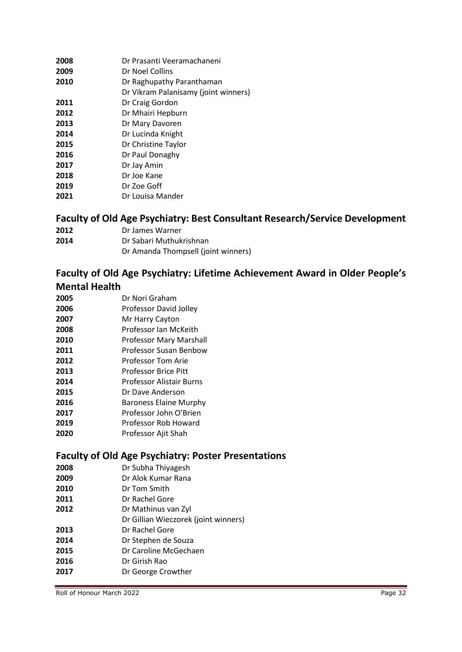| 2008 | Dr Prasanti Veeramachaneni           |
|------|--------------------------------------|
| 2009 | Dr Noel Collins                      |
| 2010 | Dr Raghupathy Paranthaman            |
|      | Dr Vikram Palanisamy (joint winners) |
| 2011 | Dr Craig Gordon                      |
| 2012 | Dr Mhairi Hepburn                    |
| 2013 | Dr Mary Davoren                      |
| 2014 | Dr Lucinda Knight                    |
| 2015 | Dr Christine Taylor                  |
| 2016 | Dr Paul Donaghy                      |
| 2017 | Dr Jay Amin                          |
| 2018 | Dr Joe Kane                          |
| 2019 | Dr Zoe Goff                          |
| 2021 | Dr Louisa Mander                     |

#### **Faculty of Old Age Psychiatry: Best Consultant Research/Service Development**

- Dr James Warner
- Dr Sabari Muthukrishnan
	- Dr Amanda Thompsell (joint winners)

#### **Faculty of Old Age Psychiatry: Lifetime Achievement Award in Older People's Mental Health**

- Dr Nori Graham Professor David Jolley Mr Harry Cayton Professor Ian McKeith Professor Mary Marshall
- Professor Susan Benbow
- Professor Tom Arie
- Professor Brice Pitt
- Professor Alistair Burns
- Dr Dave Anderson
- Baroness Elaine Murphy
- Professor John O'Brien
- Professor Rob Howard
- Professor Ajit Shah

#### **Faculty of Old Age Psychiatry: Poster Presentations**

- Dr Subha Thiyagesh
- Dr Alok Kumar Rana
- Dr Tom Smith
- Dr Rachel Gore
- Dr Mathinus van Zyl
- Dr Gillian Wieczorek (joint winners)
- Dr Rachel Gore
- Dr Stephen de Souza
- Dr Caroline McGechaen
- Dr Girish Rao
- Dr George Crowther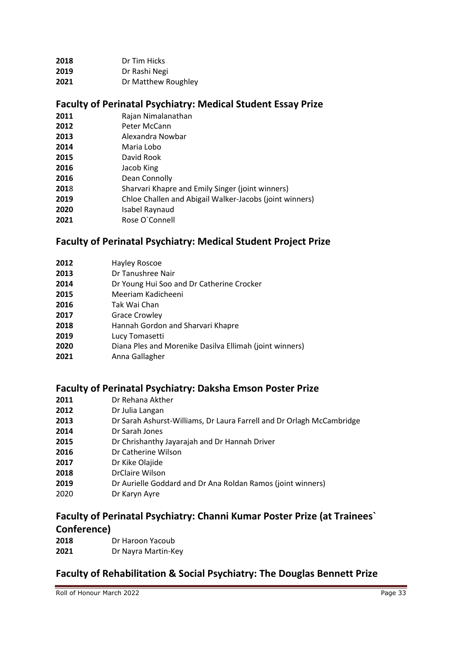| 2018 | Dr Tim Hicks |
|------|--------------|
|      |              |

- Dr Rashi Negi
- Dr Matthew Roughley

#### **Faculty of Perinatal Psychiatry: Medical Student Essay Prize**

- Rajan Nimalanathan
- Peter McCann
- Alexandra Nowbar
- Maria Lobo
- David Rook
- Jacob King
- Dean Connolly
- 8 Sharvari Khapre and Emily Singer (joint winners)
- Chloe Challen and Abigail Walker-Jacobs (joint winners)
- Isabel Raynaud
- Rose O`Connell

### **Faculty of Perinatal Psychiatry: Medical Student Project Prize**

- Hayley Roscoe Dr Tanushree Nair Dr Young Hui Soo and Dr Catherine Crocker Meeriam Kadicheeni Tak Wai Chan Grace Crowley Hannah Gordon and Sharvari Khapre Lucy Tomasetti
- Diana Ples and Morenike Dasilva Ellimah (joint winners)
- Anna Gallagher

#### **Faculty of Perinatal Psychiatry: Daksha Emson Poster Prize**

- Dr Rehana Akther
- Dr Julia Langan
- Dr Sarah Ashurst-Williams, Dr Laura Farrell and Dr Orlagh McCambridge
- Dr Sarah Jones
- Dr Chrishanthy Jayarajah and Dr Hannah Driver
- Dr Catherine Wilson
- Dr Kike Olajide
- DrClaire Wilson
- Dr Aurielle Goddard and Dr Ana Roldan Ramos (joint winners)
- Dr Karyn Ayre

## **Faculty of Perinatal Psychiatry: Channi Kumar Poster Prize (at Trainees` Conference)**

- Dr Haroon Yacoub
- Dr Nayra Martin-Key

### **Faculty of Rehabilitation & Social Psychiatry: The Douglas Bennett Prize**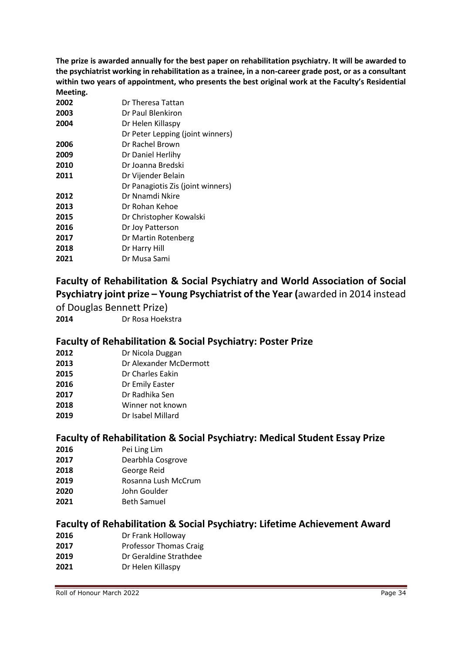**The prize is awarded annually for the best paper on rehabilitation psychiatry. It will be awarded to the psychiatrist working in rehabilitation as a trainee, in a non-career grade post, or as a consultant within two years of appointment, who presents the best original work at the Faculty's Residential Meeting.**

| 2002 | Dr Theresa Tattan                 |
|------|-----------------------------------|
| 2003 | Dr Paul Blenkiron                 |
| 2004 | Dr Helen Killaspy                 |
|      | Dr Peter Lepping (joint winners)  |
| 2006 | Dr Rachel Brown                   |
| 2009 | Dr Daniel Herlihy                 |
| 2010 | Dr Joanna Bredski                 |
| 2011 | Dr Vijender Belain                |
|      | Dr Panagiotis Zis (joint winners) |
| 2012 | Dr Nnamdi Nkire                   |
| 2013 | Dr Rohan Kehoe                    |
| 2015 | Dr Christopher Kowalski           |
| 2016 | Dr Joy Patterson                  |
| 2017 | Dr Martin Rotenberg               |
| 2018 | Dr Harry Hill                     |
| 2021 | Dr Musa Sami                      |
|      |                                   |

## **Faculty of Rehabilitation & Social Psychiatry and World Association of Social Psychiatry joint prize – Young Psychiatrist of the Year (**awarded in 2014 instead

of Douglas Bennett Prize)

Dr Rosa Hoekstra

#### **Faculty of Rehabilitation & Social Psychiatry: Poster Prize**

| 2012 | Dr Nicola Duggan |
|------|------------------|
|------|------------------|

- Dr Alexander McDermott
- Dr Charles Eakin
- Dr Emily Easter
- Dr Radhika Sen
- Winner not known
- Dr Isabel Millard

#### **Faculty of Rehabilitation & Social Psychiatry: Medical Student Essay Prize**

- Pei Ling Lim
- Dearbhla Cosgrove
- George Reid
- Rosanna Lush McCrum
- John Goulder
- Beth Samuel

#### **Faculty of Rehabilitation & Social Psychiatry: Lifetime Achievement Award**

- Dr Frank Holloway
- Professor Thomas Craig
- Dr Geraldine Strathdee
- Dr Helen Killaspy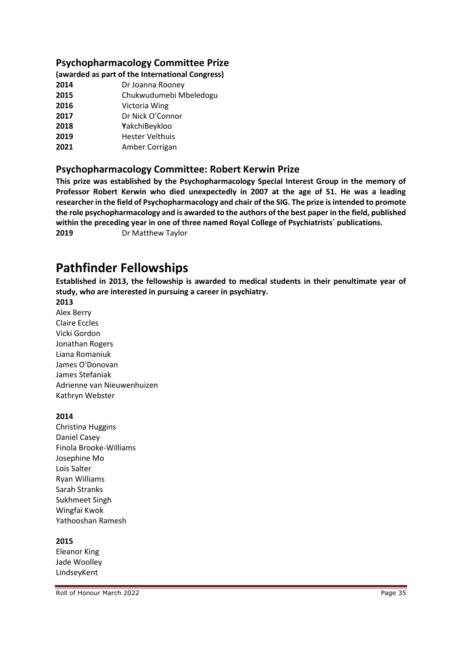#### **Psychopharmacology Committee Prize**

#### **(awarded as part of the International Congress)**

- **2014** Dr Joanna Rooney
- **2015** Chukwudumebi Mbeledogu
- **2016** Victoria Wing
- **2017** Dr Nick O'Connor
- **2018 Y**akchiBeykloo
- **2019** Hester Velthuis
- **2021** Amber Corrigan

#### **Psychopharmacology Committee: Robert Kerwin Prize**

**This prize was established by the Psychopharmacology Special Interest Group in the memory of Professor Robert Kerwin who died unexpectedly in 2007 at the age of 51. He was a leading researcher in the field of Psychopharmacology and chair of the SIG. The prize is intended to promote the role psychopharmacology and is awarded to the authors of the best paper in the field, published within the preceding year in one of three named Royal College of Psychiatrists` publications. 2019** Dr Matthew Taylor

## **Pathfinder Fellowships**

**Established in 2013, the fellowship is awarded to medical students in their penultimate year of study, who are interested in pursuing a career in psychiatry.**

#### **2013**

Alex Berry Claire Eccles Vicki Gordon Jonathan Rogers Liana Romaniuk James O'Donovan James Stefaniak Adrienne van Nieuwenhuizen Kathryn Webster

#### **2014**

Christina Huggins Daniel Casey Finola Brooke-Williams Josephine Mo Lois Salter Ryan Williams Sarah Stranks Sukhmeet Singh Wingfai Kwok Yathooshan Ramesh

#### **2015**

Eleanor King Jade Woolley LindseyKent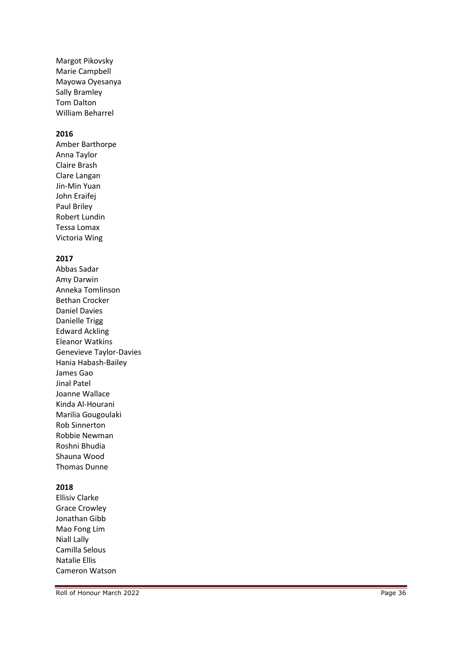Margot Pikovsky Marie Campbell Mayowa Oyesanya Sally Bramley Tom Dalton William Beharrel

#### **2016**

Amber Barthorpe Anna Taylor Claire Brash Clare Langan Jin -Min Yuan John Eraifej Paul Briley Robert Lundin Tessa Lomax Victoria Wing

#### **2017**

Abbas Sadar Amy Darwin Anneka Tomlinson Bethan Crocker Daniel Davies Danielle Trigg Edward Ackling Eleanor Watkins Genevieve Taylor -Davies Hania Habash -Bailey James Gao Jinal Patel Joanne Wallace Kinda Al -Hourani Marilia Gougoulaki Rob Sinnerton Robbie Newman Roshni Bhudia Shauna Wood Thomas Dunne

#### **2018**

Ellisiv Clarke Grace Crowley Jonathan Gibb Mao Fong Lim Niall Lally Camilla Selous Natalie Ellis Cameron Watson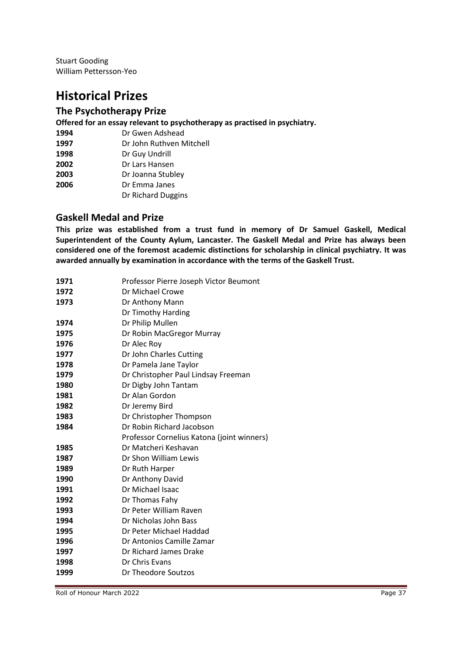Stuart Gooding William Pettersson-Yeo

## **Historical Prizes**

#### **The Psychotherapy Prize**

**Offered for an essay relevant to psychotherapy as practised in psychiatry.**

| 1994 | Dr Gwen Adshead          |
|------|--------------------------|
| 1997 | Dr John Ruthven Mitchell |
| 1998 | Dr Guy Undrill           |

- Dr Lars Hansen
- Dr Joanna Stubley
- Dr Emma Janes
	- Dr Richard Duggins

#### **Gaskell Medal and Prize**

**This prize was established from a trust fund in memory of Dr Samuel Gaskell, Medical Superintendent of the County Aylum, Lancaster. The Gaskell Medal and Prize has always been considered one of the foremost academic distinctions for scholarship in clinical psychiatry. It was awarded annually by examination in accordance with the terms of the Gaskell Trust.** 

| 1971 | Professor Pierre Joseph Victor Beumont     |
|------|--------------------------------------------|
| 1972 | Dr Michael Crowe                           |
| 1973 | Dr Anthony Mann                            |
|      | Dr Timothy Harding                         |
| 1974 | Dr Philip Mullen                           |
| 1975 | Dr Robin MacGregor Murray                  |
| 1976 | Dr Alec Roy                                |
| 1977 | Dr John Charles Cutting                    |
| 1978 | Dr Pamela Jane Taylor                      |
| 1979 | Dr Christopher Paul Lindsay Freeman        |
| 1980 | Dr Digby John Tantam                       |
| 1981 | Dr Alan Gordon                             |
| 1982 | Dr Jeremy Bird                             |
| 1983 | Dr Christopher Thompson                    |
| 1984 | Dr Robin Richard Jacobson                  |
|      | Professor Cornelius Katona (joint winners) |
| 1985 | Dr Matcheri Keshavan                       |
| 1987 | Dr Shon William Lewis                      |
| 1989 | Dr Ruth Harper                             |
| 1990 | Dr Anthony David                           |
| 1991 | Dr Michael Isaac                           |
| 1992 | Dr Thomas Fahy                             |
| 1993 | Dr Peter William Raven                     |
| 1994 | Dr Nicholas John Bass                      |
| 1995 | Dr Peter Michael Haddad                    |
| 1996 | Dr Antonios Camille Zamar                  |
| 1997 | Dr Richard James Drake                     |
| 1998 | Dr Chris Evans                             |
| 1999 | Dr Theodore Soutzos                        |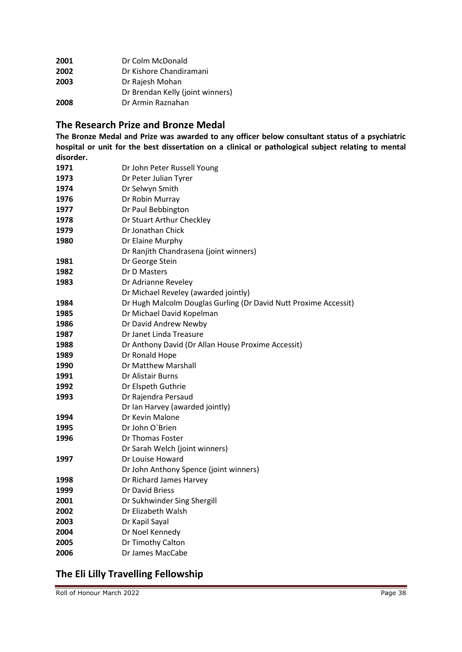| 2001 | Dr Colm McDonald                 |
|------|----------------------------------|
| 2002 | Dr Kishore Chandiramani          |
| 2003 | Dr Rajesh Mohan                  |
|      | Dr Brendan Kelly (joint winners) |
| 2008 | Dr Armin Raznahan                |

#### **The Research Prize and Bronze Medal**

**The Bronze Medal and Prize was awarded to any officer below consultant status of a psychiatric hospital or unit for the best dissertation on a clinical or pathological subject relating to mental disorder.** 

| 1971 | Dr John Peter Russell Young                                      |
|------|------------------------------------------------------------------|
| 1973 | Dr Peter Julian Tyrer                                            |
| 1974 | Dr Selwyn Smith                                                  |
| 1976 | Dr Robin Murray                                                  |
| 1977 | Dr Paul Bebbington                                               |
| 1978 | Dr Stuart Arthur Checkley                                        |
| 1979 | Dr Jonathan Chick                                                |
| 1980 | Dr Elaine Murphy                                                 |
|      | Dr Ranjith Chandrasena (joint winners)                           |
| 1981 | Dr George Stein                                                  |
| 1982 | Dr D Masters                                                     |
| 1983 | Dr Adrianne Reveley                                              |
|      | Dr Michael Reveley (awarded jointly)                             |
| 1984 | Dr Hugh Malcolm Douglas Gurling (Dr David Nutt Proxime Accessit) |
| 1985 | Dr Michael David Kopelman                                        |
| 1986 | Dr David Andrew Newby                                            |
| 1987 | Dr Janet Linda Treasure                                          |
| 1988 | Dr Anthony David (Dr Allan House Proxime Accessit)               |
| 1989 | Dr Ronald Hope                                                   |
| 1990 | Dr Matthew Marshall                                              |
| 1991 | Dr Alistair Burns                                                |
| 1992 | Dr Elspeth Guthrie                                               |
| 1993 | Dr Rajendra Persaud                                              |
|      | Dr Ian Harvey (awarded jointly)                                  |
| 1994 | Dr Kevin Malone                                                  |
| 1995 | Dr John O'Brien                                                  |
| 1996 | Dr Thomas Foster                                                 |
|      | Dr Sarah Welch (joint winners)                                   |
| 1997 | Dr Louise Howard                                                 |
|      | Dr John Anthony Spence (joint winners)                           |
| 1998 | Dr Richard James Harvey                                          |
| 1999 | Dr David Briess                                                  |
| 2001 | Dr Sukhwinder Sing Shergill                                      |
| 2002 | Dr Elizabeth Walsh                                               |
| 2003 | Dr Kapil Sayal                                                   |
| 2004 | Dr Noel Kennedy                                                  |
| 2005 | Dr Timothy Calton                                                |
| 2006 | Dr James MacCabe                                                 |

## **The Eli Lilly Travelling Fellowship**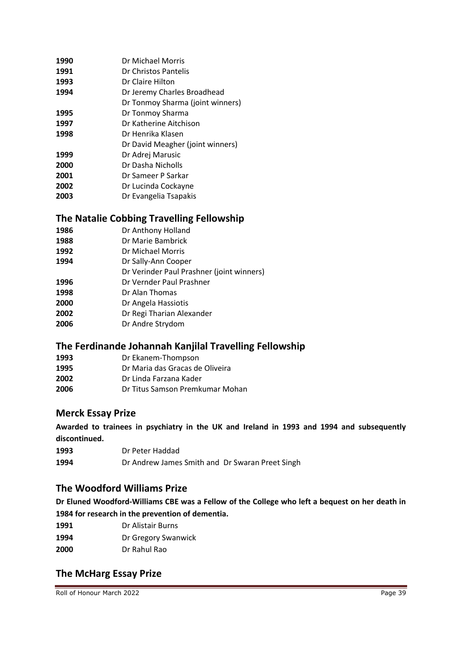| 1990 | Dr Michael Morris                |
|------|----------------------------------|
| 1991 | Dr Christos Pantelis             |
| 1993 | Dr Claire Hilton                 |
| 1994 | Dr Jeremy Charles Broadhead      |
|      | Dr Tonmoy Sharma (joint winners) |
| 1995 | Dr Tonmoy Sharma                 |
| 1997 | Dr Katherine Aitchison           |
| 1998 | Dr Henrika Klasen                |
|      | Dr David Meagher (joint winners) |
| 1999 | Dr Adrej Marusic                 |
| 2000 | Dr Dasha Nicholls                |
| 2001 | Dr Sameer P Sarkar               |
| 2002 | Dr Lucinda Cockayne              |
| 2003 | Dr Evangelia Tsapakis            |

#### **The Natalie Cobbing Travelling Fellowship**

- Dr Anthony Holland
- Dr Marie Bambrick
- Dr Michael Morris
- Dr Sally-Ann Cooper
- Dr Verinder Paul Prashner (joint winners)
- Dr Vernder Paul Prashner
- Dr Alan Thomas
- Dr Angela Hassiotis
- Dr Regi Tharian Alexander
- Dr Andre Strydom

#### **The Ferdinande Johannah Kanjilal Travelling Fellowship**

- Dr Ekanem-Thompson
- Dr Maria das Gracas de Oliveira
- Dr Linda Farzana Kader
- Dr Titus Samson Premkumar Mohan

#### **Merck Essay Prize**

**Awarded to trainees in psychiatry in the UK and Ireland in 1993 and 1994 and subsequently discontinued.**

- Dr Peter Haddad
- Dr Andrew James Smith and Dr Swaran Preet Singh

#### **The Woodford Williams Prize**

**Dr Eluned Woodford-Williams CBE was a Fellow of the College who left a bequest on her death in 1984 for research in the prevention of dementia.**

- Dr Alistair Burns
- Dr Gregory Swanwick
- Dr Rahul Rao

### **The McHarg Essay Prize**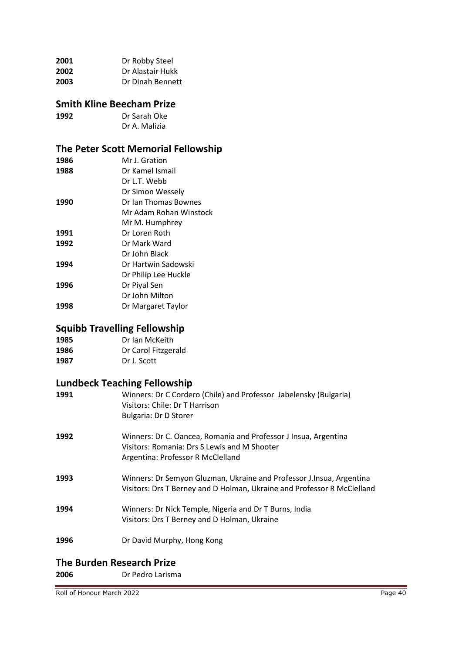| 2001 | Dr Robby Steel   |
|------|------------------|
| 2002 | Dr Alastair Hukk |
| 2003 | Dr Dinah Bennett |

#### **Smith Kline Beecham Prize**

| 1992 | Dr Sarah Oke  |
|------|---------------|
|      | Dr A. Malizia |

## **The Peter Scott Memorial Fellowship**

| Mr. J. Gration         |
|------------------------|
| Dr Kamel Ismail        |
| Dr L.T. Webb           |
| Dr Simon Wessely       |
| Dr Ian Thomas Bownes   |
| Mr Adam Rohan Winstock |
| Mr M. Humphrey         |
| Dr Loren Roth          |
| Dr Mark Ward           |
| Dr John Black          |
| Dr Hartwin Sadowski    |
| Dr Philip Lee Huckle   |
| Dr Piyal Sen           |
| Dr John Milton         |
| Dr Margaret Taylor     |
|                        |

## **Squibb Travelling Fellowship**

| 1985 | Dr Ian McKeith     |
|------|--------------------|
| 100C | De Caral Fitzgarat |

**1986** Dr Carol Fitzgerald<br> **1987** Dr J. Scott **1987** Dr J. Scott

## **Lundbeck Teaching Fellowship**

| 1991 | Winners: Dr C Cordero (Chile) and Professor Jabelensky (Bulgaria)<br>Visitors: Chile: Dr T Harrison<br>Bulgaria: Dr D Storer                         |
|------|------------------------------------------------------------------------------------------------------------------------------------------------------|
| 1992 | Winners: Dr C. Oancea, Romania and Professor J Insua, Argentina<br>Visitors: Romania: Drs S Lewis and M Shooter<br>Argentina: Professor R McClelland |
| 1993 | Winners: Dr Semyon Gluzman, Ukraine and Professor J. Insua, Argentina<br>Visitors: Drs T Berney and D Holman, Ukraine and Professor R McClelland     |
| 1994 | Winners: Dr Nick Temple, Nigeria and Dr T Burns, India<br>Visitors: Drs T Berney and D Holman, Ukraine                                               |
| 1996 | Dr David Murphy, Hong Kong                                                                                                                           |
|      |                                                                                                                                                      |

#### **The Burden Research Prize**

**2006** Dr Pedro Larisma